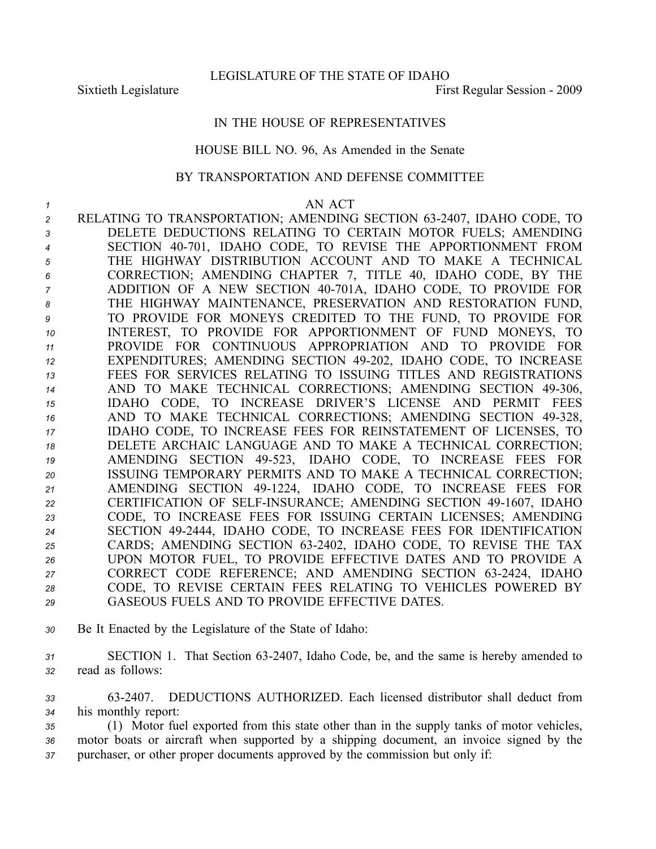LEGISLATURE OF THE STATE OF IDAHO

Sixtieth Legislature **First Regular Session** - 2009

## IN THE HOUSE OF REPRESENTATIVES

## HOUSE BILL NO. 96, As Amended in the Senate

## BY TRANSPORTATION AND DEFENSE COMMITTEE

## *1* AN ACT

- *<sup>2</sup>* RELATING TO TRANSPORTATION; AMENDING SECTION 632407, IDAHO CODE, TO *<sup>3</sup>* DELETE DEDUCTIONS RELATING TO CERTAIN MOTOR FUELS; AMENDING 4 SECTION 40-701, IDAHO CODE, TO REVISE THE APPORTIONMENT FROM *<sup>5</sup>* THE HIGHWAY DISTRIBUTION ACCOUNT AND TO MAKE A TECHNICAL *<sup>6</sup>* CORRECTION; AMENDING CHAPTER 7, TITLE 40, IDAHO CODE, BY THE *<sup>7</sup>* ADDITION OF A NEW SECTION 40701A, IDAHO CODE, TO PROVIDE FOR *<sup>8</sup>* THE HIGHWAY MAINTENANCE, PRESERVATION AND RESTORATION FUND, *<sup>9</sup>* TO PROVIDE FOR MONEYS CREDITED TO THE FUND, TO PROVIDE FOR *<sup>10</sup>* INTEREST, TO PROVIDE FOR APPORTIONMENT OF FUND MONEYS, TO *<sup>11</sup>* PROVIDE FOR CONTINUOUS APPROPRIATION AND TO PROVIDE FOR *<sup>12</sup>* EXPENDITURES; AMENDING SECTION 49202, IDAHO CODE, TO INCREASE *13* FEES FOR SERVICES RELATING TO ISSUING TITLES AND REGISTRATIONS 14 AND TO MAKE TECHNICAL CORRECTIONS; AMENDING SECTION 49-306, *<sup>15</sup>* IDAHO CODE, TO INCREASE DRIVER'S LICENSE AND PERMIT FEES 16 AND TO MAKE TECHNICAL CORRECTIONS; AMENDING SECTION 49-328, *<sup>17</sup>* IDAHO CODE, TO INCREASE FEES FOR REINSTATEMENT OF LICENSES, TO *<sup>18</sup>* DELETE ARCHAIC LANGUAGE AND TO MAKE A TECHNICAL CORRECTION; 19 AMENDING SECTION 49-523, IDAHO CODE, TO INCREASE FEES FOR *<sup>20</sup>* ISSUING TEMPORARY PERMITS AND TO MAKE A TECHNICAL CORRECTION; *<sup>21</sup>* AMENDING SECTION 491224, IDAHO CODE, TO INCREASE FEES FOR 22 CERTIFICATION OF SELF-INSURANCE; AMENDING SECTION 49-1607, IDAHO *<sup>23</sup>* CODE, TO INCREASE FEES FOR ISSUING CERTAIN LICENSES; AMENDING *<sup>24</sup>* SECTION 492444, IDAHO CODE, TO INCREASE FEES FOR IDENTIFICATION *<sup>25</sup>* CARDS; AMENDING SECTION 632402, IDAHO CODE, TO REVISE THE TAX *<sup>26</sup>* UPON MOTOR FUEL, TO PROVIDE EFFECTIVE DATES AND TO PROVIDE A *<sup>27</sup>* CORRECT CODE REFERENCE; AND AMENDING SECTION 632424, IDAHO *<sup>28</sup>* CODE, TO REVISE CERTAIN FEES RELATING TO VEHICLES POWERED BY *29* GASEOUS FUELS AND TO PROVIDE EFFECTIVE DATES.
- *<sup>30</sup>* Be It Enacted by the Legislature of the State of Idaho:
- *<sup>31</sup>* SECTION 1. That Section 632407, Idaho Code, be, and the same is hereby amended to *<sup>32</sup>* read as follows:
- *<sup>33</sup>* 632407. DEDUCTIONS AUTHORIZED. Each licensed distributor shall deduct from *<sup>34</sup>* his monthly report:
- *<sup>35</sup>* (1) Motor fuel exported from this state other than in the supply tanks of motor vehicles, *<sup>36</sup>* motor boats or aircraft when supported by <sup>a</sup> shipping document, an invoice signed by the *<sup>37</sup>* purchaser, or other proper documents approved by the commission but only if: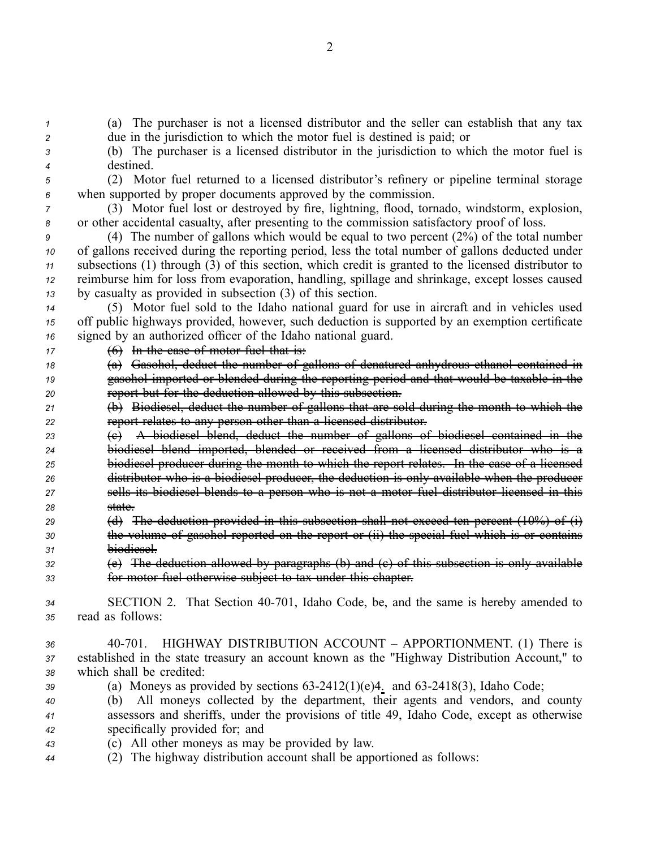*<sup>1</sup>* (a) The purchaser is not <sup>a</sup> licensed distributor and the seller can establish that any tax *<sup>2</sup>* due in the jurisdiction to which the motor fuel is destined is paid; or

- *<sup>3</sup>* (b) The purchaser is <sup>a</sup> licensed distributor in the jurisdiction to which the motor fuel is *<sup>4</sup>* destined.
	-

*<sup>5</sup>* (2) Motor fuel returned to <sup>a</sup> licensed distributor's refinery or pipeline terminal storage *<sup>6</sup>* when supported by proper documents approved by the commission.

*<sup>7</sup>* (3) Motor fuel lost or destroyed by fire, lightning, flood, tornado, windstorm, explosion, *<sup>8</sup>* or other accidental casualty, after presenting to the commission satisfactory proof of loss.

 (4) The number of gallons which would be equal to two percen<sup>t</sup> (2%) of the total number of gallons received during the reporting period, less the total number of gallons deducted under subsections (1) through (3) of this section, which credit is granted to the licensed distributor to reimburse him for loss from evaporation, handling, spillage and shrinkage, excep<sup>t</sup> losses caused by casualty as provided in subsection (3) of this section.

*<sup>14</sup>* (5) Motor fuel sold to the Idaho national guard for use in aircraft and in vehicles used *<sup>15</sup>* off public highways provided, however, such deduction is supported by an exemption certificate *<sup>16</sup>* signed by an authorized officer of the Idaho national guard.

*<sup>17</sup>* (6) In the case of motor fuel that is:

*<sup>18</sup>* (a) Gasohol, deduct the number of gallons of denatured anhydrous ethanol contained in *<sup>19</sup>* gasohol imported or blended during the reporting period and that would be taxable in the *<sup>20</sup>* repor<sup>t</sup> but for the deduction allowed by this subsection.

*<sup>21</sup>* (b) Biodiesel, deduct the number of gallons that are sold during the month to which the *<sup>22</sup>* repor<sup>t</sup> relates to any person other than <sup>a</sup> licensed distributor.

 (c) A biodiesel blend, deduct the number of gallons of biodiesel contained in the biodiesel blend imported, blended or received from <sup>a</sup> licensed distributor who is <sup>a</sup> biodiesel producer during the month to which the repor<sup>t</sup> relates. In the case of <sup>a</sup> licensed distributor who is <sup>a</sup> biodiesel producer, the deduction is only available when the producer sells its biodiesel blends to <sup>a</sup> person who is not <sup>a</sup> motor fuel distributor licensed in this *28* state.

*<sup>29</sup>* (d) The deduction provided in this subsection shall not exceed ten percen<sup>t</sup> (10%) of (i) *<sup>30</sup>* the volume of gasohol reported on the repor<sup>t</sup> or (ii) the special fuel which is or contains *<sup>31</sup>* biodiesel.

*<sup>32</sup>* (e) The deduction allowed by paragraphs (b) and (c) of this subsection is only available *<sup>33</sup>* for motor fuel otherwise subject to tax under this chapter.

*<sup>34</sup>* SECTION 2. That Section 40701, Idaho Code, be, and the same is hereby amended to *<sup>35</sup>* read as follows:

- *<sup>36</sup>* 40701. HIGHWAY DISTRIBUTION ACCOUNT APPORTIONMENT. (1) There is *<sup>37</sup>* established in the state treasury an account known as the "Highway Distribution Account," to *<sup>38</sup>* which shall be credited:
- *39* (a) Moneys as provided by sections  $63-2412(1)(e)4$ . and  $63-2418(3)$ , Idaho Code;
- *<sup>40</sup>* (b) All moneys collected by the department, their agents and vendors, and county *<sup>41</sup>* assessors and sheriffs, under the provisions of title 49, Idaho Code, excep<sup>t</sup> as otherwise *<sup>42</sup>* specifically provided for; and
- *<sup>43</sup>* (c) All other moneys as may be provided by law.
- *<sup>44</sup>* (2) The highway distribution account shall be apportioned as follows: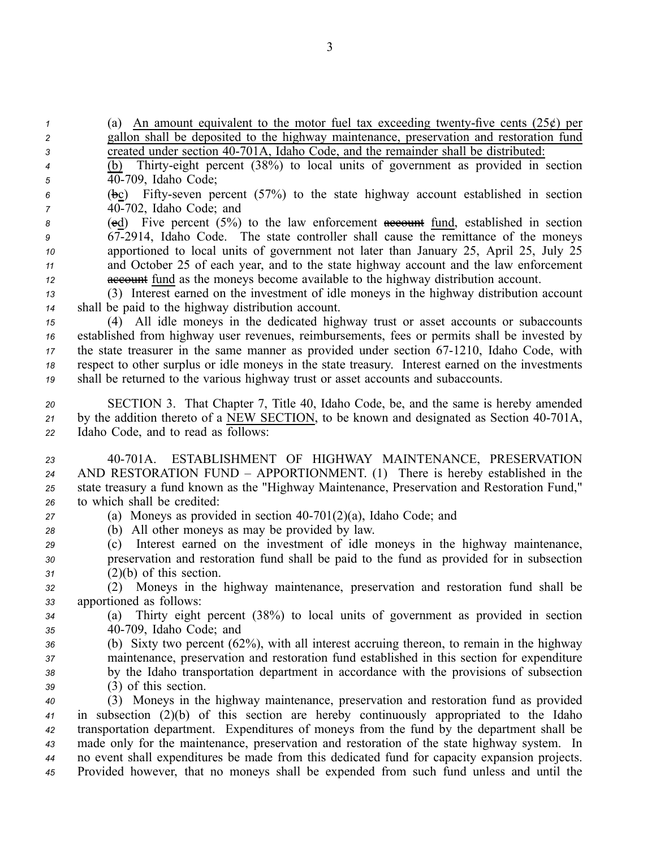(a) An amount equivalent to the motor fuel tax exceeding twenty-five cents  $(25¢)$  per gallon shall be deposited to the highway maintenance, preservation and restoration fund created under section 40701A, Idaho Code, and the remainder shall be distributed: (b) Thirtyeight percen<sup>t</sup> (38%) to local units of governmen<sup>t</sup> as provided in section 40709, Idaho Code; 6 (bc) Fifty-seven percent (57%) to the state highway account established in section 40702, Idaho Code; and 8 (ed) Five percent (5%) to the law enforcement account fund, established in section 672914, Idaho Code. The state controller shall cause the remittance of the moneys apportioned to local units of governmen<sup>t</sup> not later than January 25, April 25, July 25 and October 25 of each year, and to the state highway account and the law enforcement account fund as the moneys become available to the highway distribution account. (3) Interest earned on the investment of idle moneys in the highway distribution account shall be paid to the highway distribution account. (4) All idle moneys in the dedicated highway trust or asset accounts or subaccounts established from highway user revenues, reimbursements, fees or permits shall be invested by the state treasurer in the same manner as provided under section 67-1210, Idaho Code, with respec<sup>t</sup> to other surplus or idle moneys in the state treasury. Interest earned on the investments shall be returned to the various highway trust or asset accounts and subaccounts. SECTION 3. That Chapter 7, Title 40, Idaho Code, be, and the same is hereby amended <sup>21</sup> by the addition thereto of a NEW SECTION, to be known and designated as Section 40-701A, Idaho Code, and to read as follows: 40701A. ESTABLISHMENT OF HIGHWAY MAINTENANCE, PRESERVATION AND RESTORATION FUND – APPORTIONMENT. (1) There is hereby established in the state treasury <sup>a</sup> fund known as the "Highway Maintenance, Preservation and Restoration Fund," to which shall be credited: (a) Moneys as provided in section  $40-701(2)(a)$ , Idaho Code; and (b) All other moneys as may be provided by law. (c) Interest earned on the investment of idle moneys in the highway maintenance, preservation and restoration fund shall be paid to the fund as provided for in subsection (2)(b) of this section. (2) Moneys in the highway maintenance, preservation and restoration fund shall be apportioned as follows: (a) Thirty eight percen<sup>t</sup> (38%) to local units of governmen<sup>t</sup> as provided in section 40709, Idaho Code; and (b) Sixty two percen<sup>t</sup> (62%), with all interest accruing thereon, to remain in the highway maintenance, preservation and restoration fund established in this section for expenditure by the Idaho transportation department in accordance with the provisions of subsection (3) of this section. (3) Moneys in the highway maintenance, preservation and restoration fund as provided in subsection (2)(b) of this section are hereby continuously appropriated to the Idaho transportation department. Expenditures of moneys from the fund by the department shall be made only for the maintenance, preservation and restoration of the state highway system. In no event shall expenditures be made from this dedicated fund for capacity expansion projects. Provided however, that no moneys shall be expended from such fund unless and until the

3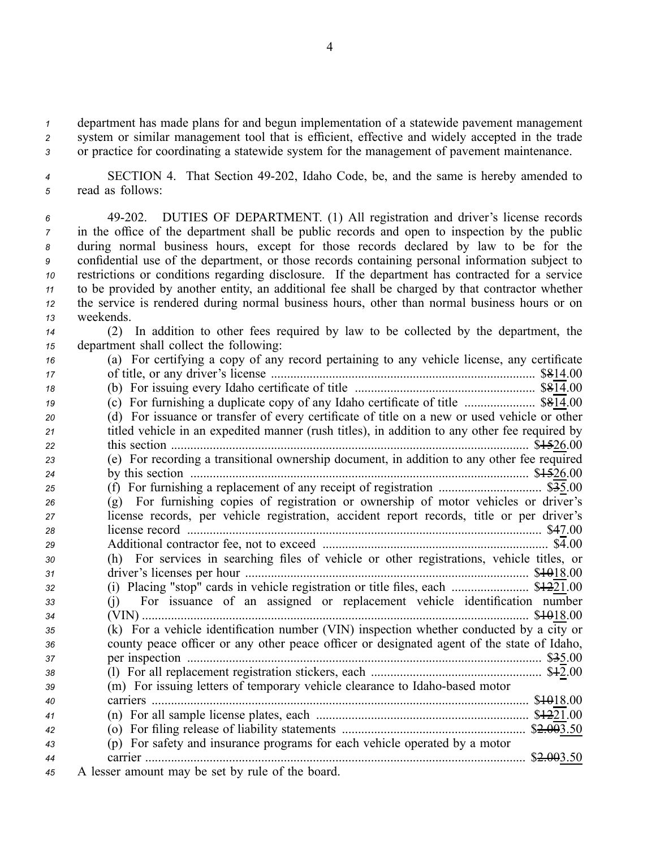*<sup>1</sup>* department has made plans for and begun implementation of <sup>a</sup> statewide pavemen<sup>t</sup> managemen<sup>t</sup> *<sup>2</sup>* system or similar managemen<sup>t</sup> tool that is efficient, effective and widely accepted in the trade *<sup>3</sup>* or practice for coordinating <sup>a</sup> statewide system for the managemen<sup>t</sup> of pavemen<sup>t</sup> maintenance.

*<sup>4</sup>* SECTION 4. That Section 49202, Idaho Code, be, and the same is hereby amended to *<sup>5</sup>* read as follows:

 49202. DUTIES OF DEPARTMENT. (1) All registration and driver's license records in the office of the department shall be public records and open to inspection by the public during normal business hours, excep<sup>t</sup> for those records declared by law to be for the confidential use of the department, or those records containing personal information subject to restrictions or conditions regarding disclosure. If the department has contracted for <sup>a</sup> service to be provided by another entity, an additional fee shall be charged by that contractor whether the service is rendered during normal business hours, other than normal business hours or on weekends.

*<sup>14</sup>* (2) In addition to other fees required by law to be collected by the department, the *<sup>15</sup>* department shall collect the following:

| 16 | (a) For certifying a copy of any record pertaining to any vehicle license, any certificate    |
|----|-----------------------------------------------------------------------------------------------|
| 17 |                                                                                               |
| 18 |                                                                                               |
| 19 |                                                                                               |
| 20 | (d) For issuance or transfer of every certificate of title on a new or used vehicle or other  |
| 21 | titled vehicle in an expedited manner (rush titles), in addition to any other fee required by |
| 22 |                                                                                               |
| 23 | (e) For recording a transitional ownership document, in addition to any other fee required    |
| 24 |                                                                                               |
| 25 |                                                                                               |
| 26 | (g) For furnishing copies of registration or ownership of motor vehicles or driver's          |
| 27 | license records, per vehicle registration, accident report records, title or per driver's     |
| 28 |                                                                                               |
| 29 |                                                                                               |
| 30 | (h) For services in searching files of vehicle or other registrations, vehicle titles, or     |
| 31 |                                                                                               |
| 32 |                                                                                               |
| 33 | (j) For issuance of an assigned or replacement vehicle identification number                  |
| 34 | \$\\$\\$18.00                                                                                 |
| 35 | (k) For a vehicle identification number (VIN) inspection whether conducted by a city or       |
| 36 | county peace officer or any other peace officer or designated agent of the state of Idaho,    |
| 37 |                                                                                               |
| 38 |                                                                                               |
| 39 | (m) For issuing letters of temporary vehicle clearance to Idaho-based motor                   |
| 40 |                                                                                               |
| 41 |                                                                                               |
| 42 |                                                                                               |
| 43 | (p) For safety and insurance programs for each vehicle operated by a motor                    |
| 44 | \$2.003.50                                                                                    |
| 45 | A lesser amount may be set by rule of the board.                                              |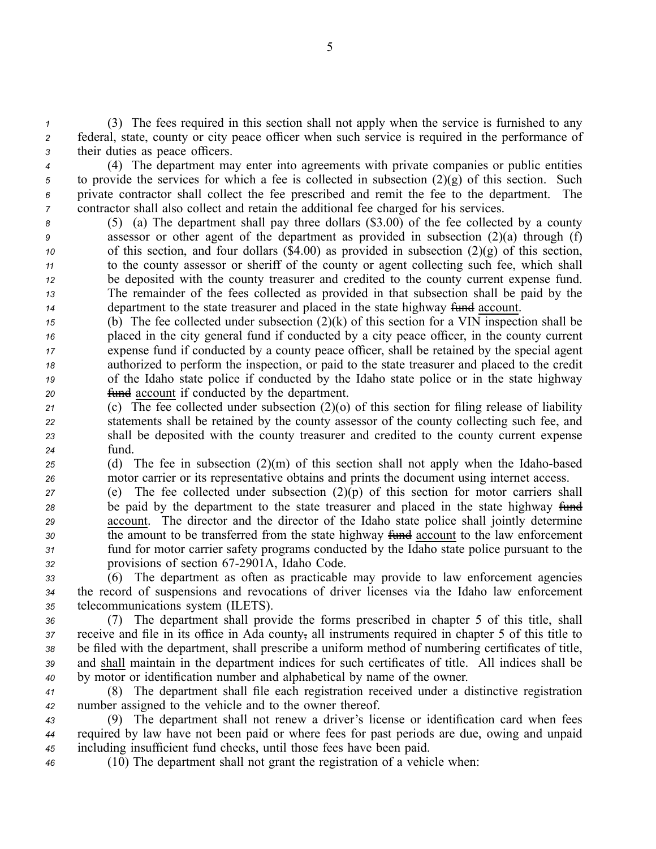*<sup>1</sup>* (3) The fees required in this section shall not apply when the service is furnished to any *<sup>2</sup>* federal, state, county or city peace officer when such service is required in the performance of *<sup>3</sup>* their duties as peace officers.

 (4) The department may enter into agreements with private companies or public entities to provide the services for which <sup>a</sup> fee is collected in subsection (2)(g) of this section. Such private contractor shall collect the fee prescribed and remit the fee to the department. The contractor shall also collect and retain the additional fee charged for his services.

- *<sup>8</sup>* (5) (a) The department shall pay three dollars (\$3.00) of the fee collected by <sup>a</sup> county *<sup>9</sup>* assessor or other agen<sup>t</sup> of the department as provided in subsection (2)(a) through (f) *10* of this section, and four dollars  $(\text{$}4.00)$  as provided in subsection  $(2)(g)$  of this section, *<sup>11</sup>* to the county assessor or sheriff of the county or agen<sup>t</sup> collecting such fee, which shall *<sup>12</sup>* be deposited with the county treasurer and credited to the county current expense fund. *<sup>13</sup>* The remainder of the fees collected as provided in that subsection shall be paid by the *14* department to the state treasurer and placed in the state highway fund account.
- *<sup>15</sup>* (b) The fee collected under subsection (2)(k) of this section for <sup>a</sup> VIN inspection shall be *<sup>16</sup>* placed in the city general fund if conducted by <sup>a</sup> city peace officer, in the county current *<sup>17</sup>* expense fund if conducted by <sup>a</sup> county peace officer, shall be retained by the special agen<sup>t</sup> *<sup>18</sup>* authorized to perform the inspection, or paid to the state treasurer and placed to the credit *<sup>19</sup>* of the Idaho state police if conducted by the Idaho state police or in the state highway *<sup>20</sup>* fund account if conducted by the department.
- *<sup>21</sup>* (c) The fee collected under subsection (2)(o) of this section for filing release of liability *<sup>22</sup>* statements shall be retained by the county assessor of the county collecting such fee, and *<sup>23</sup>* shall be deposited with the county treasurer and credited to the county current expense *<sup>24</sup>* fund.
- *<sup>25</sup>* (d) The fee in subsection (2)(m) of this section shall not apply when the Idahobased *<sup>26</sup>* motor carrier or its representative obtains and prints the document using internet access.
- *<sup>27</sup>* (e) The fee collected under subsection (2)(p) of this section for motor carriers shall <sup>28</sup> be paid by the department to the state treasurer and placed in the state highway fund *<sup>29</sup>* account. The director and the director of the Idaho state police shall jointly determine 30 the amount to be transferred from the state highway fund account to the law enforcement *<sup>31</sup>* fund for motor carrier safety programs conducted by the Idaho state police pursuan<sup>t</sup> to the *<sup>32</sup>* provisions of section 672901A, Idaho Code.
- *<sup>33</sup>* (6) The department as often as practicable may provide to law enforcement agencies *<sup>34</sup>* the record of suspensions and revocations of driver licenses via the Idaho law enforcement *<sup>35</sup>* telecommunications system (ILETS).
- *<sup>36</sup>* (7) The department shall provide the forms prescribed in chapter 5 of this title, shall *<sup>37</sup>* receive and file in its office in Ada county, all instruments required in chapter 5 of this title to *<sup>38</sup>* be filed with the department, shall prescribe <sup>a</sup> uniform method of numbering certificates of title, *<sup>39</sup>* and shall maintain in the department indices for such certificates of title. All indices shall be *<sup>40</sup>* by motor or identification number and alphabetical by name of the owner.
- *<sup>41</sup>* (8) The department shall file each registration received under <sup>a</sup> distinctive registration *<sup>42</sup>* number assigned to the vehicle and to the owner thereof.
- *<sup>43</sup>* (9) The department shall not renew <sup>a</sup> driver's license or identification card when fees *<sup>44</sup>* required by law have not been paid or where fees for pas<sup>t</sup> periods are due, owing and unpaid *<sup>45</sup>* including insufficient fund checks, until those fees have been paid.
- 
- *<sup>46</sup>* (10) The department shall not gran<sup>t</sup> the registration of <sup>a</sup> vehicle when: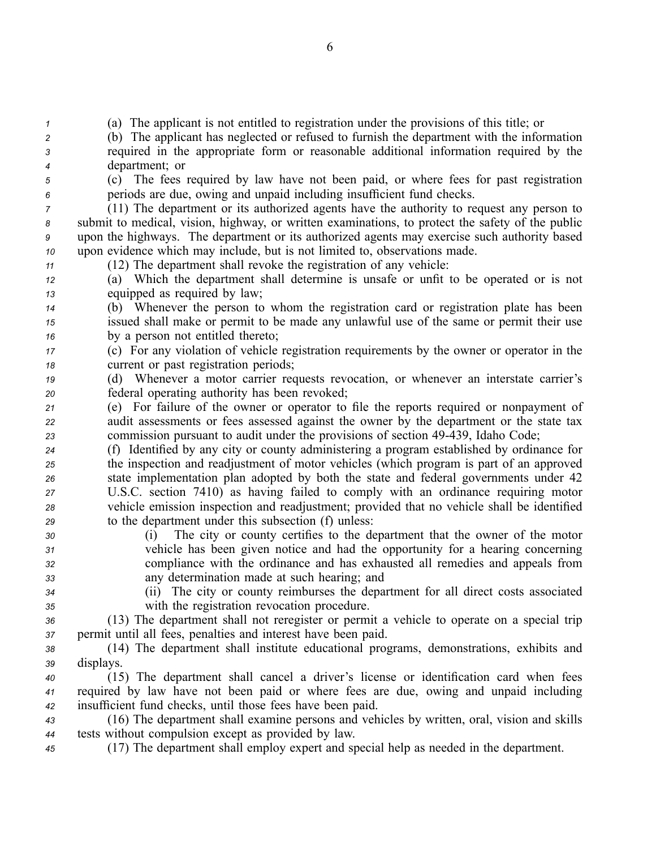*<sup>1</sup>* (a) The applicant is not entitled to registration under the provisions of this title; or

*<sup>2</sup>* (b) The applicant has neglected or refused to furnish the department with the information *<sup>3</sup>* required in the appropriate form or reasonable additional information required by the *<sup>4</sup>* department; or

*<sup>5</sup>* (c) The fees required by law have not been paid, or where fees for pas<sup>t</sup> registration *<sup>6</sup>* periods are due, owing and unpaid including insufficient fund checks.

 (11) The department or its authorized agents have the authority to reques<sup>t</sup> any person to submit to medical, vision, highway, or written examinations, to protect the safety of the public upon the highways. The department or its authorized agents may exercise such authority based upon evidence which may include, but is not limited to, observations made.

*<sup>11</sup>* (12) The department shall revoke the registration of any vehicle:

*<sup>12</sup>* (a) Which the department shall determine is unsafe or unfit to be operated or is not *<sup>13</sup>* equipped as required by law;

*<sup>14</sup>* (b) Whenever the person to whom the registration card or registration plate has been *<sup>15</sup>* issued shall make or permit to be made any unlawful use of the same or permit their use *<sup>16</sup>* by <sup>a</sup> person not entitled thereto;

*<sup>17</sup>* (c) For any violation of vehicle registration requirements by the owner or operator in the *<sup>18</sup>* current or pas<sup>t</sup> registration periods;

*<sup>19</sup>* (d) Whenever <sup>a</sup> motor carrier requests revocation, or whenever an interstate carrier's *<sup>20</sup>* federal operating authority has been revoked;

*<sup>21</sup>* (e) For failure of the owner or operator to file the reports required or nonpaymen<sup>t</sup> of *<sup>22</sup>* audit assessments or fees assessed against the owner by the department or the state tax *<sup>23</sup>* commission pursuan<sup>t</sup> to audit under the provisions of section 49439, Idaho Code;

 (f) Identified by any city or county administering <sup>a</sup> program established by ordinance for the inspection and readjustment of motor vehicles (which program is par<sup>t</sup> of an approved state implementation plan adopted by both the state and federal governments under 42 U.S.C. section 7410) as having failed to comply with an ordinance requiring motor vehicle emission inspection and readjustment; provided that no vehicle shall be identified to the department under this subsection (f) unless:

 (i) The city or county certifies to the department that the owner of the motor vehicle has been given notice and had the opportunity for <sup>a</sup> hearing concerning compliance with the ordinance and has exhausted all remedies and appeals from any determination made at such hearing; and

*<sup>34</sup>* (ii) The city or county reimburses the department for all direct costs associated *<sup>35</sup>* with the registration revocation procedure.

*<sup>36</sup>* (13) The department shall not reregister or permit <sup>a</sup> vehicle to operate on <sup>a</sup> special trip *<sup>37</sup>* permit until all fees, penalties and interest have been paid.

*<sup>38</sup>* (14) The department shall institute educational programs, demonstrations, exhibits and *<sup>39</sup>* displays.

*<sup>40</sup>* (15) The department shall cancel <sup>a</sup> driver's license or identification card when fees *<sup>41</sup>* required by law have not been paid or where fees are due, owing and unpaid including *<sup>42</sup>* insufficient fund checks, until those fees have been paid.

*<sup>43</sup>* (16) The department shall examine persons and vehicles by written, oral, vision and skills *<sup>44</sup>* tests without compulsion excep<sup>t</sup> as provided by law.

*<sup>45</sup>* (17) The department shall employ exper<sup>t</sup> and special help as needed in the department.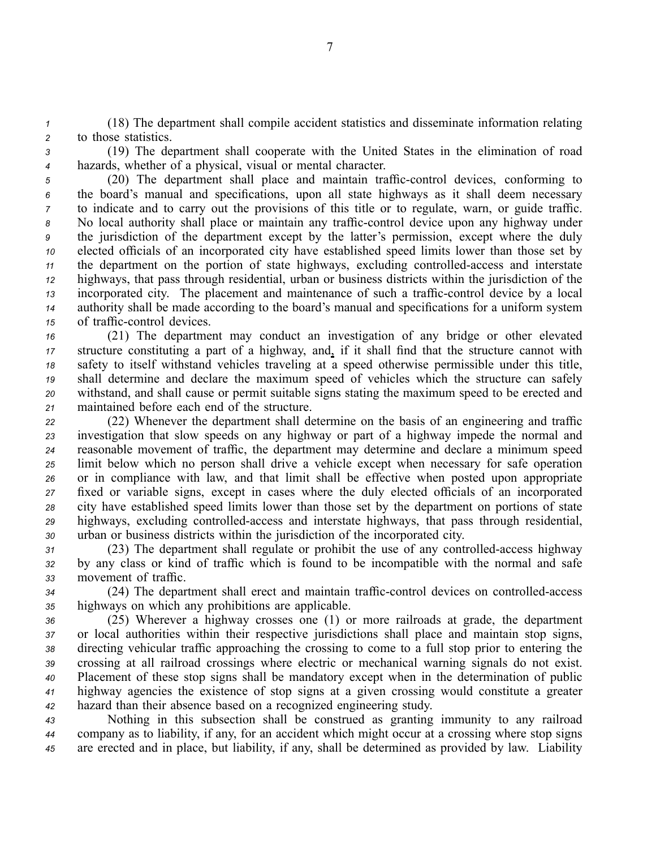*<sup>1</sup>* (18) The department shall compile accident statistics and disseminate information relating *<sup>2</sup>* to those statistics.

*<sup>3</sup>* (19) The department shall cooperate with the United States in the elimination of road *<sup>4</sup>* hazards, whether of <sup>a</sup> physical, visual or mental character.

 (20) The department shall place and maintain trafficcontrol devices, conforming to the board's manual and specifications, upon all state highways as it shall deem necessary to indicate and to carry out the provisions of this title or to regulate, warn, or guide traffic. 8 No local authority shall place or maintain any traffic-control device upon any highway under the jurisdiction of the department excep<sup>t</sup> by the latter's permission, excep<sup>t</sup> where the duly elected officials of an incorporated city have established speed limits lower than those set by the department on the portion of state highways, excluding controlled-access and interstate highways, that pass through residential, urban or business districts within the jurisdiction of the incorporated city. The placement and maintenance of such a traffic-control device by a local authority shall be made according to the board's manual and specifications for <sup>a</sup> uniform system of traffic-control devices.

 (21) The department may conduct an investigation of any bridge or other elevated structure constituting <sup>a</sup> par<sup>t</sup> of <sup>a</sup> highway, and, if it shall find that the structure cannot with safety to itself withstand vehicles traveling at <sup>a</sup> speed otherwise permissible under this title, shall determine and declare the maximum speed of vehicles which the structure can safely withstand, and shall cause or permit suitable signs stating the maximum speed to be erected and maintained before each end of the structure.

 (22) Whenever the department shall determine on the basis of an engineering and traffic investigation that slow speeds on any highway or par<sup>t</sup> of <sup>a</sup> highway impede the normal and reasonable movement of traffic, the department may determine and declare <sup>a</sup> minimum speed limit below which no person shall drive <sup>a</sup> vehicle excep<sup>t</sup> when necessary for safe operation or in compliance with law, and that limit shall be effective when posted upon appropriate fixed or variable signs, excep<sup>t</sup> in cases where the duly elected officials of an incorporated city have established speed limits lower than those set by the department on portions of state highways, excluding controlled-access and interstate highways, that pass through residential, urban or business districts within the jurisdiction of the incorporated city.

*<sup>31</sup>* (23) The department shall regulate or prohibit the use of any controlledaccess highway *<sup>32</sup>* by any class or kind of traffic which is found to be incompatible with the normal and safe *<sup>33</sup>* movement of traffic.

*34* (24) The department shall erect and maintain traffic-control devices on controlled-access *<sup>35</sup>* highways on which any prohibitions are applicable.

 (25) Wherever <sup>a</sup> highway crosses one (1) or more railroads at grade, the department or local authorities within their respective jurisdictions shall place and maintain stop signs, directing vehicular traffic approaching the crossing to come to <sup>a</sup> full stop prior to entering the crossing at all railroad crossings where electric or mechanical warning signals do not exist. Placement of these stop signs shall be mandatory excep<sup>t</sup> when in the determination of public highway agencies the existence of stop signs at <sup>a</sup> given crossing would constitute <sup>a</sup> greater hazard than their absence based on <sup>a</sup> recognized engineering study.

*<sup>43</sup>* Nothing in this subsection shall be construed as granting immunity to any railroad *<sup>44</sup>* company as to liability, if any, for an accident which might occur at <sup>a</sup> crossing where stop signs *<sup>45</sup>* are erected and in place, but liability, if any, shall be determined as provided by law. Liability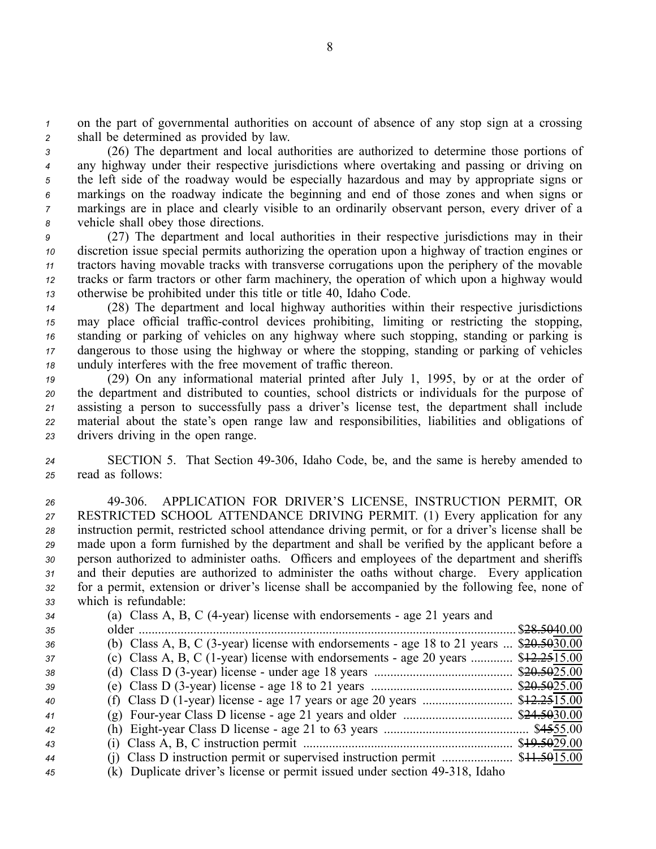*<sup>1</sup>* on the par<sup>t</sup> of governmental authorities on account of absence of any stop sign at <sup>a</sup> crossing *<sup>2</sup>* shall be determined as provided by law.

 (26) The department and local authorities are authorized to determine those portions of any highway under their respective jurisdictions where overtaking and passing or driving on the left side of the roadway would be especially hazardous and may by appropriate signs or markings on the roadway indicate the beginning and end of those zones and when signs or markings are in place and clearly visible to an ordinarily observant person, every driver of <sup>a</sup> vehicle shall obey those directions.

 (27) The department and local authorities in their respective jurisdictions may in their discretion issue special permits authorizing the operation upon <sup>a</sup> highway of traction engines or tractors having movable tracks with transverse corrugations upon the periphery of the movable tracks or farm tractors or other farm machinery, the operation of which upon <sup>a</sup> highway would otherwise be prohibited under this title or title 40, Idaho Code.

 (28) The department and local highway authorities within their respective jurisdictions may place official traffic-control devices prohibiting, limiting or restricting the stopping, standing or parking of vehicles on any highway where such stopping, standing or parking is dangerous to those using the highway or where the stopping, standing or parking of vehicles unduly interferes with the free movement of traffic thereon.

 (29) On any informational material printed after July 1, 1995, by or at the order of the department and distributed to counties, school districts or individuals for the purpose of assisting <sup>a</sup> person to successfully pass <sup>a</sup> driver's license test, the department shall include material about the state's open range law and responsibilities, liabilities and obligations of drivers driving in the open range.

24 SECTION 5. That Section 49-306, Idaho Code, be, and the same is hereby amended to *<sup>25</sup>* read as follows:

 49306. APPLICATION FOR DRIVER'S LICENSE, INSTRUCTION PERMIT, OR RESTRICTED SCHOOL ATTENDANCE DRIVING PERMIT. (1) Every application for any instruction permit, restricted school attendance driving permit, or for <sup>a</sup> driver's license shall be made upon <sup>a</sup> form furnished by the department and shall be verified by the applicant before <sup>a</sup> person authorized to administer oaths. Officers and employees of the department and sheriffs and their deputies are authorized to administer the oaths without charge. Every application for <sup>a</sup> permit, extension or driver's license shall be accompanied by the following fee, none of which is refundable:

| 34 | (a) Class A, B, C (4-year) license with endorsements - age 21 years and                         |
|----|-------------------------------------------------------------------------------------------------|
| 35 | \$28.5040.00<br>older.                                                                          |
| 36 | (b) Class A, B, C (3-year) license with endorsements - age 18 to 21 years $\ldots$ \$20.5030.00 |
| 37 | (c) Class A, B, C (1-year) license with endorsements - age 20 years $$12.2515.00$               |
| 38 |                                                                                                 |
| 39 |                                                                                                 |
| 40 |                                                                                                 |
| 41 |                                                                                                 |
| 42 |                                                                                                 |
| 43 |                                                                                                 |
| 44 |                                                                                                 |
| 45 | (k) Duplicate driver's license or permit issued under section 49-318. Idaho                     |

(K) Duplicate driver's license or permit issued under section 49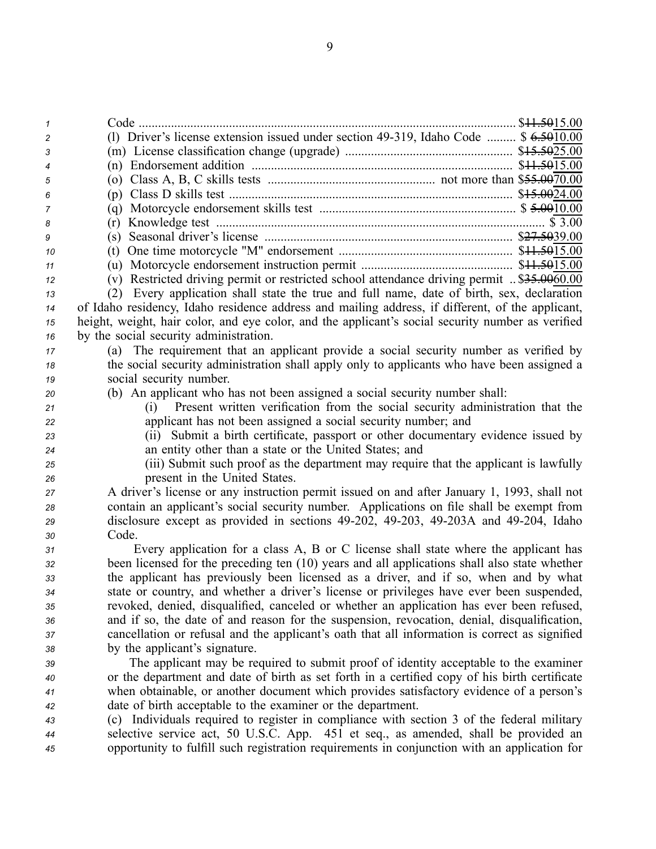| $\mathbf{1}$   |                                                                                                   |
|----------------|---------------------------------------------------------------------------------------------------|
| 2              | (1) Driver's license extension issued under section 49-319, Idaho Code $$6.5010.00$               |
| 3              |                                                                                                   |
| $\overline{4}$ |                                                                                                   |
| 5              |                                                                                                   |
| 6              |                                                                                                   |
| 7              |                                                                                                   |
| 8              |                                                                                                   |
| 9              | (s)                                                                                               |
| 10             | (t)                                                                                               |
| 11             |                                                                                                   |
| 12             | (v) Restricted driving permit or restricted school attendance driving permit  \$35.0060.00        |
| 13             | (2) Every application shall state the true and full name, date of birth, sex, declaration         |
| 14             | of Idaho residency, Idaho residence address and mailing address, if different, of the applicant,  |
| 15             | height, weight, hair color, and eye color, and the applicant's social security number as verified |
| 16             | by the social security administration.                                                            |
| 17             | (a) The requirement that an applicant provide a social security number as verified by             |
| 18             | the social security administration shall apply only to applicants who have been assigned a        |
| 19             | social security number.                                                                           |
| 20             | (b) An applicant who has not been assigned a social security number shall:                        |
| 21             | Present written verification from the social security administration that the<br>(i)              |
| 22             | applicant has not been assigned a social security number; and                                     |
| 23             | (ii) Submit a birth certificate, passport or other documentary evidence issued by                 |
| 24             | an entity other than a state or the United States; and                                            |
| 25             | (iii) Submit such proof as the department may require that the applicant is lawfully              |
| 26             | present in the United States.                                                                     |
| 27             | A driver's license or any instruction permit issued on and after January 1, 1993, shall not       |
| 28             | contain an applicant's social security number. Applications on file shall be exempt from          |
| 29             | disclosure except as provided in sections 49-202, 49-203, 49-203A and 49-204, Idaho               |
| 30             | Code.                                                                                             |
| 31             | Every application for a class A, B or C license shall state where the applicant has               |
| 32             | been licensed for the preceding ten (10) years and all applications shall also state whether      |
| 33             | the applicant has previously been licensed as a driver, and if so, when and by what               |
| 34             | state or country, and whether a driver's license or privileges have ever been suspended,          |
| 35             | revoked, denied, disqualified, canceled or whether an application has ever been refused,          |
| 36             | and if so, the date of and reason for the suspension, revocation, denial, disqualification,       |
| 37             | cancellation or refusal and the applicant's oath that all information is correct as signified     |
| 38             | by the applicant's signature.                                                                     |
| 39             | The applicant may be required to submit proof of identity acceptable to the examiner              |
| 40             | or the department and date of birth as set forth in a certified copy of his birth certificate     |
| 41             | when obtainable, or another document which provides satisfactory evidence of a person's           |
| 42             | date of birth acceptable to the examiner or the department.                                       |
| 43             | (c) Individuals required to register in compliance with section 3 of the federal military         |
| 44             | selective service act, 50 U.S.C. App. 451 et seq., as amended, shall be provided an               |
| 45             | opportunity to fulfill such registration requirements in conjunction with an application for      |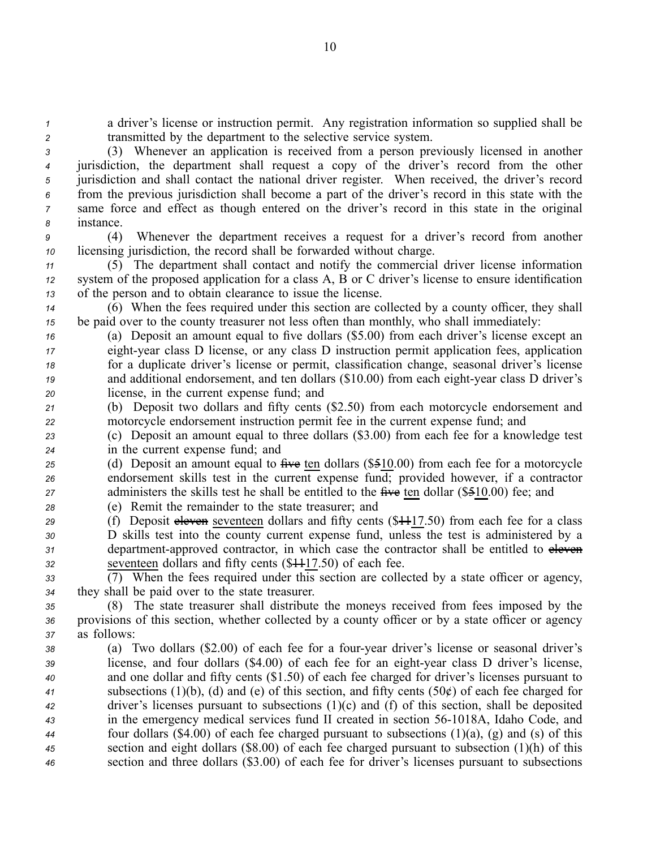*<sup>1</sup>* <sup>a</sup> driver's license or instruction permit. Any registration information so supplied shall be *<sup>2</sup>* transmitted by the department to the selective service system.

 (3) Whenever an application is received from <sup>a</sup> person previously licensed in another jurisdiction, the department shall reques<sup>t</sup> <sup>a</sup> copy of the driver's record from the other jurisdiction and shall contact the national driver register. When received, the driver's record from the previous jurisdiction shall become <sup>a</sup> par<sup>t</sup> of the driver's record in this state with the same force and effect as though entered on the driver's record in this state in the original instance.

*<sup>9</sup>* (4) Whenever the department receives <sup>a</sup> reques<sup>t</sup> for <sup>a</sup> driver's record from another *<sup>10</sup>* licensing jurisdiction, the record shall be forwarded without charge.

*<sup>11</sup>* (5) The department shall contact and notify the commercial driver license information *<sup>12</sup>* system of the proposed application for <sup>a</sup> class A, B or C driver's license to ensure identification *<sup>13</sup>* of the person and to obtain clearance to issue the license.

*<sup>14</sup>* (6) When the fees required under this section are collected by <sup>a</sup> county officer, they shall *<sup>15</sup>* be paid over to the county treasurer not less often than monthly, who shall immediately:

 (a) Deposit an amount equal to five dollars (\$5.00) from each driver's license excep<sup>t</sup> an eightyear class D license, or any class D instruction permit application fees, application for <sup>a</sup> duplicate driver's license or permit, classification change, seasonal driver's license and additional endorsement, and ten dollars (\$10.00) from each eight-year class D driver's license, in the current expense fund; and

*<sup>21</sup>* (b) Deposit two dollars and fifty cents (\$2.50) from each motorcycle endorsement and *<sup>22</sup>* motorcycle endorsement instruction permit fee in the current expense fund; and

*<sup>23</sup>* (c) Deposit an amount equal to three dollars (\$3.00) from each fee for <sup>a</sup> knowledge test *<sup>24</sup>* in the current expense fund; and

*<sup>25</sup>* (d) Deposit an amount equal to five ten dollars (\$510.00) from each fee for <sup>a</sup> motorcycle *<sup>26</sup>* endorsement skills test in the current expense fund; provided however, if <sup>a</sup> contractor 27 administers the skills test he shall be entitled to the five ten dollar (\$510.00) fee; and

*<sup>28</sup>* (e) Remit the remainder to the state treasurer; and

29 (f) Deposit eleven seventeen dollars and fifty cents (\$4417.50) from each fee for a class D skills test into the county current expense fund, unless the test is administered by <sup>a</sup> department-approved contractor, in which case the contractor shall be entitled to eleven seventeen dollars and fifty cents (\$1117.50) of each fee.

*<sup>33</sup>* (7) When the fees required under this section are collected by <sup>a</sup> state officer or agency, *<sup>34</sup>* they shall be paid over to the state treasurer.

*<sup>35</sup>* (8) The state treasurer shall distribute the moneys received from fees imposed by the *<sup>36</sup>* provisions of this section, whether collected by <sup>a</sup> county officer or by <sup>a</sup> state officer or agency *<sup>37</sup>* as follows:

 (a) Two dollars (\$2.00) of each fee for <sup>a</sup> fouryear driver's license or seasonal driver's license, and four dollars (\$4.00) of each fee for an eight-year class D driver's license, and one dollar and fifty cents (\$1.50) of each fee charged for driver's licenses pursuan<sup>t</sup> to subsections (1)(b), (d) and (e) of this section, and fifty cents (50¢) of each fee charged for driver's licenses pursuan<sup>t</sup> to subsections (1)(c) and (f) of this section, shall be deposited in the emergency medical services fund II created in section 561018A, Idaho Code, and four dollars (\$4.00) of each fee charged pursuan<sup>t</sup> to subsections (1)(a), (g) and (s) of this section and eight dollars (\$8.00) of each fee charged pursuan<sup>t</sup> to subsection (1)(h) of this section and three dollars (\$3.00) of each fee for driver's licenses pursuan<sup>t</sup> to subsections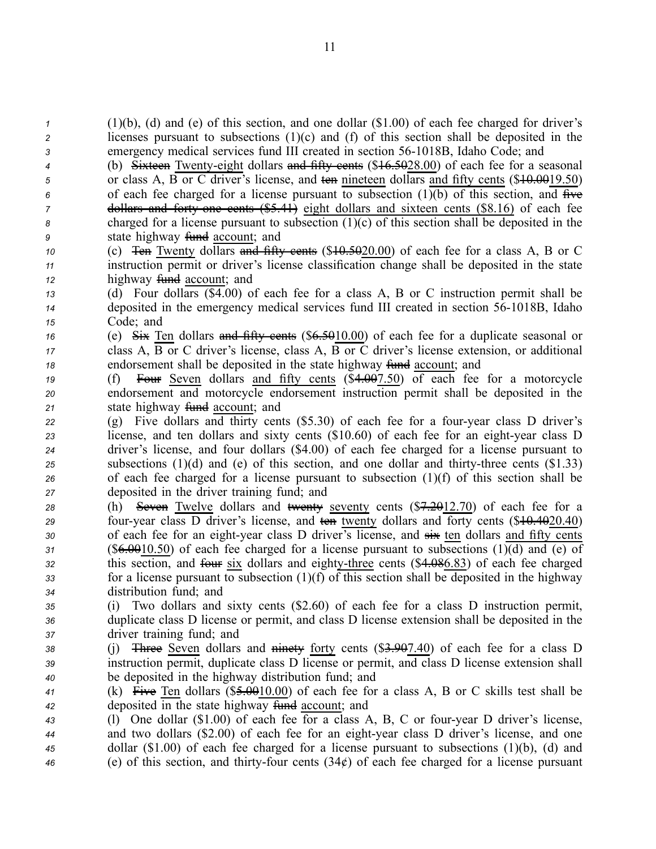*<sup>1</sup>* (1)(b), (d) and (e) of this section, and one dollar (\$1.00) of each fee charged for driver's *<sup>2</sup>* licenses pursuan<sup>t</sup> to subsections (1)(c) and (f) of this section shall be deposited in the *<sup>3</sup>* emergency medical services fund III created in section 561018B, Idaho Code; and

 (b) Sixteen Twenty-eight dollars and fifty cents (\$16.5028.00) of each fee for a seasonal 5 or class A, B or C driver's license, and ten nineteen dollars and fifty cents (\$<del>10.00</del>19.50) of each fee charged for <sup>a</sup> license pursuan<sup>t</sup> to subsection (1)(b) of this section, and five dollars and forty one cents (\$5.41) eight dollars and sixteen cents (\$8.16) of each fee charged for <sup>a</sup> license pursuan<sup>t</sup> to subsection (1)(c) of this section shall be deposited in the state highway fund account; and

*<sup>10</sup>* (c) Ten Twenty dollars and fifty cents (\$10.5020.00) of each fee for <sup>a</sup> class A, B or C *<sup>11</sup>* instruction permit or driver's license classification change shall be deposited in the state 12 highway <del>fund</del> account; and

- *<sup>13</sup>* (d) Four dollars (\$4.00) of each fee for <sup>a</sup> class A, B or C instruction permit shall be *14* deposited in the emergency medical services fund III created in section 56-1018B, Idaho *<sup>15</sup>* Code; and
- *<sup>16</sup>* (e) Six Ten dollars and fifty cents (\$6.5010.00) of each fee for <sup>a</sup> duplicate seasonal or *<sup>17</sup>* class A, B or C driver's license, class A, B or C driver's license extension, or additional *18* endorsement shall be deposited in the state highway fund account; and
- *<sup>19</sup>* (f) Four Seven dollars and fifty cents (\$4.007.50) of each fee for <sup>a</sup> motorcycle *<sup>20</sup>* endorsement and motorcycle endorsement instruction permit shall be deposited in the 21 state highway fund account; and
- *<sup>22</sup>* (g) Five dollars and thirty cents (\$5.30) of each fee for <sup>a</sup> fouryear class D driver's *23* license, and ten dollars and sixty cents (\$10.60) of each fee for an eight-year class D *<sup>24</sup>* driver's license, and four dollars (\$4.00) of each fee charged for <sup>a</sup> license pursuan<sup>t</sup> to  $25$  subsections (1)(d) and (e) of this section, and one dollar and thirty-three cents  $(\$1.33)$ *<sup>26</sup>* of each fee charged for <sup>a</sup> license pursuan<sup>t</sup> to subsection (1)(f) of this section shall be *<sup>27</sup>* deposited in the driver training fund; and
- *<sup>28</sup>* (h) Seven Twelve dollars and twenty seventy cents (\$7.2012.70) of each fee for <sup>a</sup> 29 four-year class D driver's license, and ten twenty dollars and forty cents (\$10.4020.40) 30 of each fee for an eight-year class D driver's license, and  $\frac{1}{2}$  ten dollars and fifty cents *<sup>31</sup>* (\$6.0010.50) of each fee charged for <sup>a</sup> license pursuan<sup>t</sup> to subsections (1)(d) and (e) of *32* this section, and four six dollars and eighty-three cents (\$4.086.83) of each fee charged  $33$  for a license pursuant to subsection  $(1)(f)$  of this section shall be deposited in the highway *<sup>34</sup>* distribution fund; and
- *<sup>35</sup>* (i) Two dollars and sixty cents (\$2.60) of each fee for <sup>a</sup> class D instruction permit, *<sup>36</sup>* duplicate class D license or permit, and class D license extension shall be deposited in the *<sup>37</sup>* driver training fund; and
- *<sup>38</sup>* (j) Three Seven dollars and ninety forty cents (\$3.907.40) of each fee for <sup>a</sup> class D *<sup>39</sup>* instruction permit, duplicate class D license or permit, and class D license extension shall *<sup>40</sup>* be deposited in the highway distribution fund; and
- *<sup>41</sup>* (k) Five Ten dollars (\$5.0010.00) of each fee for <sup>a</sup> class A, B or C skills test shall be *<sup>42</sup>* deposited in the state highway fund account; and
- *<sup>43</sup>* (l) One dollar (\$1.00) of each fee for <sup>a</sup> class A, B, C or fouryear D driver's license, *<sup>44</sup>* and two dollars (\$2.00) of each fee for an eightyear class D driver's license, and one *<sup>45</sup>* dollar (\$1.00) of each fee charged for <sup>a</sup> license pursuan<sup>t</sup> to subsections (1)(b), (d) and  $46$  (e) of this section, and thirty-four cents  $(34¢)$  of each fee charged for a license pursuant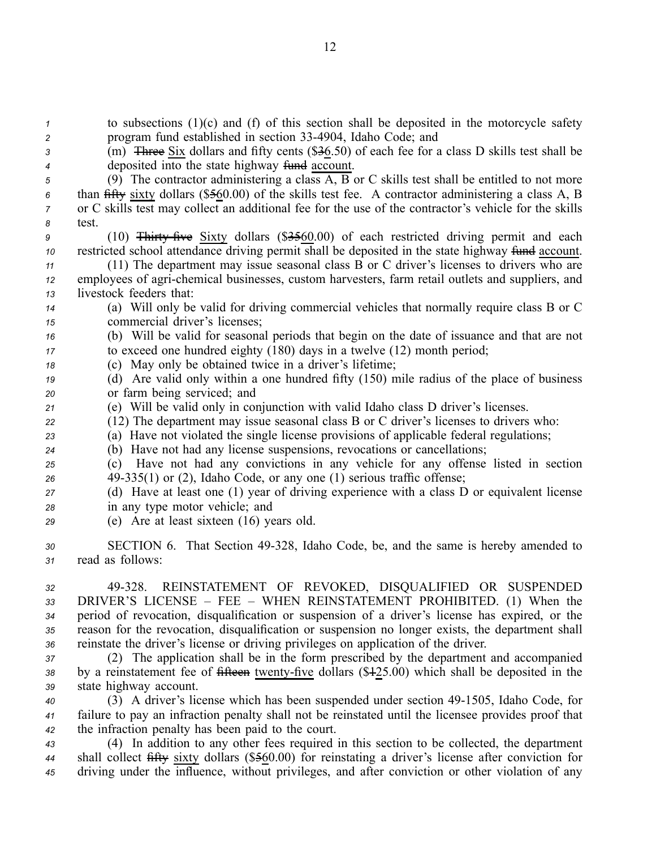*<sup>1</sup>* to subsections (1)(c) and (f) of this section shall be deposited in the motorcycle safety *<sup>2</sup>* program fund established in section 334904, Idaho Code; and

*<sup>3</sup>* (m) Three Six dollars and fifty cents (\$36.50) of each fee for <sup>a</sup> class D skills test shall be *4* deposited into the state highway fund account.

 (9) The contractor administering <sup>a</sup> class A, B or C skills test shall be entitled to not more than fifty sixty dollars (\$560.00) of the skills test fee. A contractor administering <sup>a</sup> class A, B or C skills test may collect an additional fee for the use of the contractor's vehicle for the skills *8* test.

*9* (10) Thirty five Sixty dollars (\$3560.00) of each restricted driving permit and each 10 restricted school attendance driving permit shall be deposited in the state highway fund account.

*<sup>11</sup>* (11) The department may issue seasonal class B or C driver's licenses to drivers who are *12* employees of agri-chemical businesses, custom harvesters, farm retail outlets and suppliers, and *<sup>13</sup>* livestock feeders that:

*<sup>14</sup>* (a) Will only be valid for driving commercial vehicles that normally require class B or C *<sup>15</sup>* commercial driver's licenses;

*<sup>16</sup>* (b) Will be valid for seasonal periods that begin on the date of issuance and that are not *<sup>17</sup>* to exceed one hundred eighty (180) days in <sup>a</sup> twelve (12) month period;

*<sup>18</sup>* (c) May only be obtained twice in <sup>a</sup> driver's lifetime;

*<sup>19</sup>* (d) Are valid only within <sup>a</sup> one hundred fifty (150) mile radius of the place of business *<sup>20</sup>* or farm being serviced; and

*<sup>21</sup>* (e) Will be valid only in conjunction with valid Idaho class D driver's licenses.

*<sup>22</sup>* (12) The department may issue seasonal class B or C driver's licenses to drivers who:

*<sup>23</sup>* (a) Have not violated the single license provisions of applicable federal regulations;

*<sup>24</sup>* (b) Have not had any license suspensions, revocations or cancellations;

*<sup>25</sup>* (c) Have not had any convictions in any vehicle for any offense listed in section *<sup>26</sup>* 49335(1) or (2), Idaho Code, or any one (1) serious traffic offense;

*<sup>27</sup>* (d) Have at least one (1) year of driving experience with <sup>a</sup> class D or equivalent license *<sup>28</sup>* in any type motor vehicle; and

*<sup>29</sup>* (e) Are at least sixteen (16) years old.

*<sup>30</sup>* SECTION 6. That Section 49328, Idaho Code, be, and the same is hereby amended to *<sup>31</sup>* read as follows:

 49328. REINSTATEMENT OF REVOKED, DISQUALIFIED OR SUSPENDED DRIVER'S LICENSE – FEE – WHEN REINSTATEMENT PROHIBITED. (1) When the period of revocation, disqualification or suspension of <sup>a</sup> driver's license has expired, or the reason for the revocation, disqualification or suspension no longer exists, the department shall reinstate the driver's license or driving privileges on application of the driver.

*<sup>37</sup>* (2) The application shall be in the form prescribed by the department and accompanied 38 by a reinstatement fee of fifteen twenty-five dollars (\$425.00) which shall be deposited in the *<sup>39</sup>* state highway account.

*<sup>40</sup>* (3) A driver's license which has been suspended under section 491505, Idaho Code, for *<sup>41</sup>* failure to pay an infraction penalty shall not be reinstated until the licensee provides proof that *<sup>42</sup>* the infraction penalty has been paid to the court.

*<sup>43</sup>* (4) In addition to any other fees required in this section to be collected, the department *<sup>44</sup>* shall collect fifty sixty dollars (\$560.00) for reinstating <sup>a</sup> driver's license after conviction for *<sup>45</sup>* driving under the influence, without privileges, and after conviction or other violation of any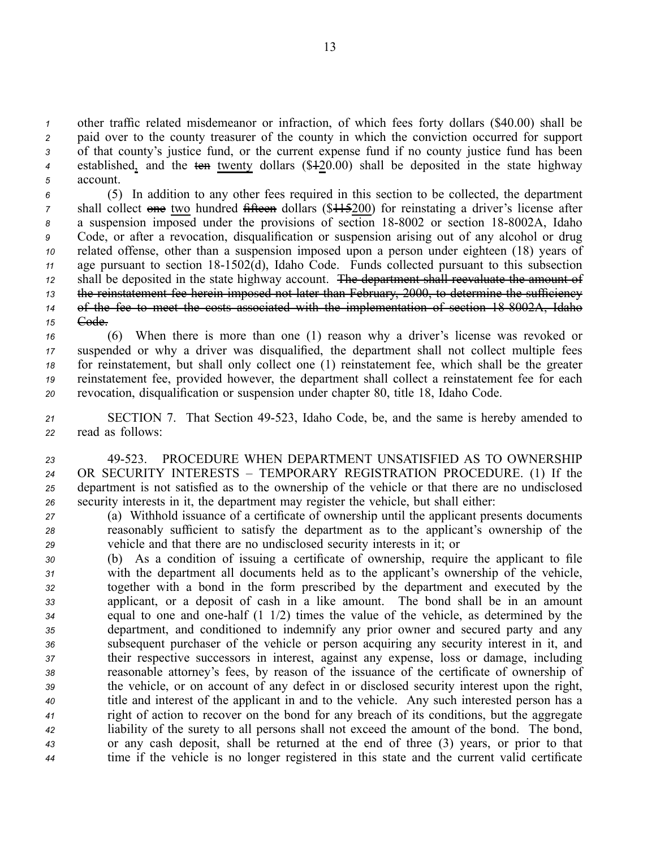other traffic related misdemeanor or infraction, of which fees forty dollars (\$40.00) shall be paid over to the county treasurer of the county in which the conviction occurred for suppor<sup>t</sup> of that county's justice fund, or the current expense fund if no county justice fund has been established, and the ten twenty dollars (\$120.00) shall be deposited in the state highway *5* account.

 (5) In addition to any other fees required in this section to be collected, the department shall collect one two hundred fifteen dollars (\$41.5200) for reinstating a driver's license after 8 a suspension imposed under the provisions of section 18-8002 or section 18-8002A, Idaho Code, or after <sup>a</sup> revocation, disqualification or suspension arising out of any alcohol or drug related offense, other than <sup>a</sup> suspension imposed upon <sup>a</sup> person under eighteen (18) years of 11 age pursuant to section 18-1502(d), Idaho Code. Funds collected pursuant to this subsection shall be deposited in the state highway account. The department shall reevaluate the amount of the reinstatement fee herein imposed not later than February, 2000, to determine the sufficiency of the fee to meet the costs associated with the implementation of section 188002A, Idaho *<sup>15</sup>* Code.

 (6) When there is more than one (1) reason why <sup>a</sup> driver's license was revoked or suspended or why <sup>a</sup> driver was disqualified, the department shall not collect multiple fees for reinstatement, but shall only collect one (1) reinstatement fee, which shall be the greater reinstatement fee, provided however, the department shall collect <sup>a</sup> reinstatement fee for each revocation, disqualification or suspension under chapter 80, title 18, Idaho Code.

*<sup>21</sup>* SECTION 7. That Section 49523, Idaho Code, be, and the same is hereby amended to *<sup>22</sup>* read as follows:

 49523. PROCEDURE WHEN DEPARTMENT UNSATISFIED AS TO OWNERSHIP OR SECURITY INTERESTS – TEMPORARY REGISTRATION PROCEDURE. (1) If the department is not satisfied as to the ownership of the vehicle or that there are no undisclosed security interests in it, the department may register the vehicle, but shall either:

*<sup>27</sup>* (a) Withhold issuance of <sup>a</sup> certificate of ownership until the applicant presents documents *<sup>28</sup>* reasonably sufficient to satisfy the department as to the applicant's ownership of the *<sup>29</sup>* vehicle and that there are no undisclosed security interests in it; or

 (b) As <sup>a</sup> condition of issuing <sup>a</sup> certificate of ownership, require the applicant to file with the department all documents held as to the applicant's ownership of the vehicle, together with <sup>a</sup> bond in the form prescribed by the department and executed by the applicant, or <sup>a</sup> deposit of cash in <sup>a</sup> like amount. The bond shall be in an amount equal to one and onehalf (1 1/2) times the value of the vehicle, as determined by the department, and conditioned to indemnify any prior owner and secured party and any subsequent purchaser of the vehicle or person acquiring any security interest in it, and their respective successors in interest, against any expense, loss or damage, including reasonable attorney's fees, by reason of the issuance of the certificate of ownership of the vehicle, or on account of any defect in or disclosed security interest upon the right, title and interest of the applicant in and to the vehicle. Any such interested person has <sup>a</sup> right of action to recover on the bond for any breach of its conditions, but the aggregate liability of the surety to all persons shall not exceed the amount of the bond. The bond, or any cash deposit, shall be returned at the end of three (3) years, or prior to that time if the vehicle is no longer registered in this state and the current valid certificate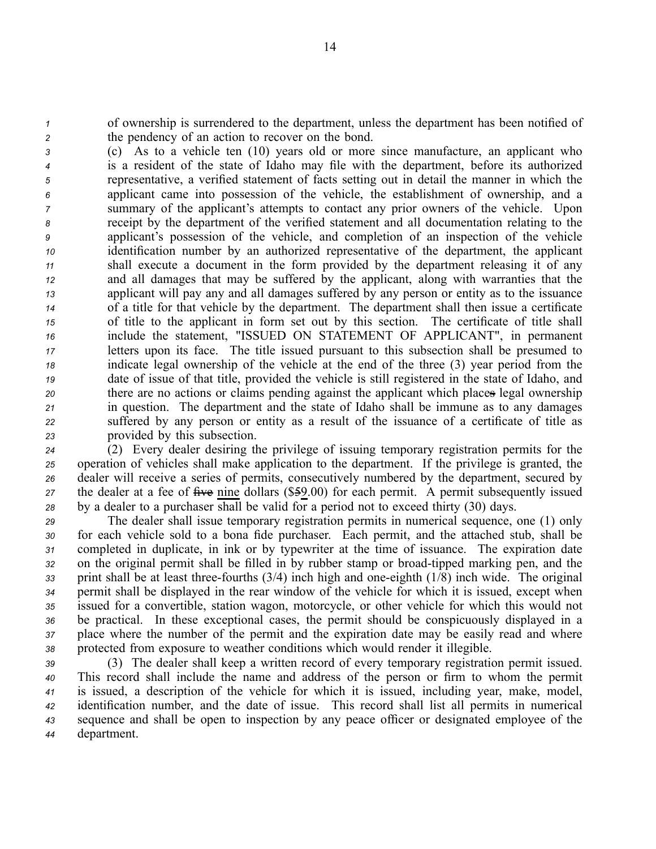*<sup>1</sup>* of ownership is surrendered to the department, unless the department has been notified of *<sup>2</sup>* the pendency of an action to recover on the bond.

 (c) As to <sup>a</sup> vehicle ten (10) years old or more since manufacture, an applicant who is <sup>a</sup> resident of the state of Idaho may file with the department, before its authorized representative, <sup>a</sup> verified statement of facts setting out in detail the manner in which the applicant came into possession of the vehicle, the establishment of ownership, and <sup>a</sup> summary of the applicant's attempts to contact any prior owners of the vehicle. Upon receipt by the department of the verified statement and all documentation relating to the applicant's possession of the vehicle, and completion of an inspection of the vehicle identification number by an authorized representative of the department, the applicant shall execute <sup>a</sup> document in the form provided by the department releasing it of any and all damages that may be suffered by the applicant, along with warranties that the applicant will pay any and all damages suffered by any person or entity as to the issuance of <sup>a</sup> title for that vehicle by the department. The department shall then issue <sup>a</sup> certificate of title to the applicant in form set out by this section. The certificate of title shall include the statement, "ISSUED ON STATEMENT OF APPLICANT", in permanen<sup>t</sup> letters upon its face. The title issued pursuan<sup>t</sup> to this subsection shall be presumed to indicate legal ownership of the vehicle at the end of the three (3) year period from the date of issue of that title, provided the vehicle is still registered in the state of Idaho, and there are no actions or claims pending against the applicant which places legal ownership in question. The department and the state of Idaho shall be immune as to any damages suffered by any person or entity as <sup>a</sup> result of the issuance of <sup>a</sup> certificate of title as provided by this subsection.

 (2) Every dealer desiring the privilege of issuing temporary registration permits for the operation of vehicles shall make application to the department. If the privilege is granted, the dealer will receive <sup>a</sup> series of permits, consecutively numbered by the department, secured by 27 the dealer at a fee of five nine dollars (\$59.00) for each permit. A permit subsequently issued by <sup>a</sup> dealer to <sup>a</sup> purchaser shall be valid for <sup>a</sup> period not to exceed thirty (30) days.

 The dealer shall issue temporary registration permits in numerical sequence, one (1) only for each vehicle sold to <sup>a</sup> bona fide purchaser. Each permit, and the attached stub, shall be completed in duplicate, in ink or by typewriter at the time of issuance. The expiration date on the original permit shall be filled in by rubber stamp or broad-tipped marking pen, and the print shall be at least three-fourths  $(3/4)$  inch high and one-eighth  $(1/8)$  inch wide. The original permit shall be displayed in the rear window of the vehicle for which it is issued, excep<sup>t</sup> when issued for <sup>a</sup> convertible, station wagon, motorcycle, or other vehicle for which this would not be practical. In these exceptional cases, the permit should be conspicuously displayed in <sup>a</sup> place where the number of the permit and the expiration date may be easily read and where protected from exposure to weather conditions which would render it illegible.

 (3) The dealer shall keep <sup>a</sup> written record of every temporary registration permit issued. This record shall include the name and address of the person or firm to whom the permit is issued, <sup>a</sup> description of the vehicle for which it is issued, including year, make, model, identification number, and the date of issue. This record shall list all permits in numerical sequence and shall be open to inspection by any peace officer or designated employee of the department.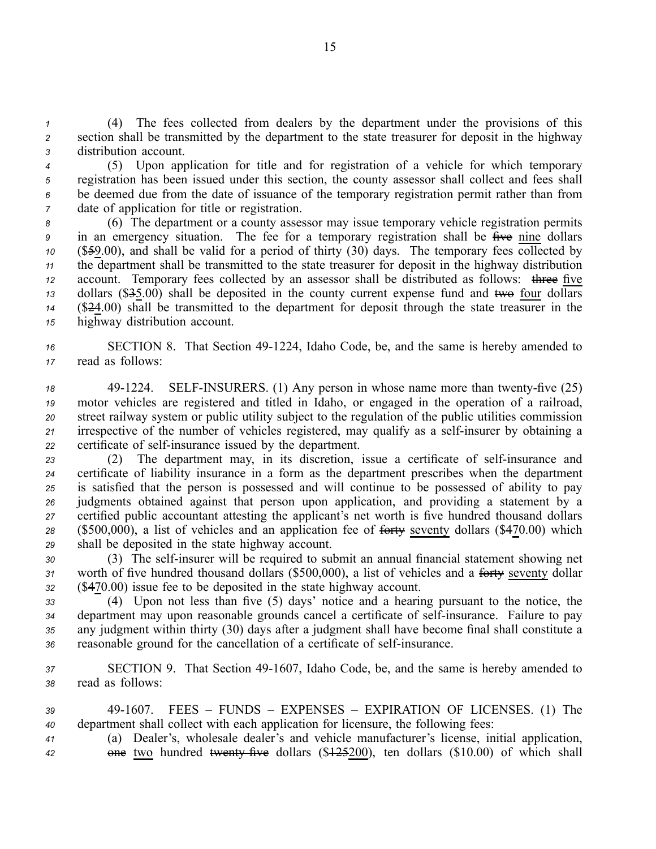*<sup>1</sup>* (4) The fees collected from dealers by the department under the provisions of this *<sup>2</sup>* section shall be transmitted by the department to the state treasurer for deposit in the highway *<sup>3</sup>* distribution account.

 (5) Upon application for title and for registration of <sup>a</sup> vehicle for which temporary registration has been issued under this section, the county assessor shall collect and fees shall be deemed due from the date of issuance of the temporary registration permit rather than from date of application for title or registration.

 (6) The department or <sup>a</sup> county assessor may issue temporary vehicle registration permits in an emergency situation. The fee for <sup>a</sup> temporary registration shall be five nine dollars (\$59.00), and shall be valid for <sup>a</sup> period of thirty (30) days. The temporary fees collected by the department shall be transmitted to the state treasurer for deposit in the highway distribution account. Temporary fees collected by an assessor shall be distributed as follows: three five dollars (\$35.00) shall be deposited in the county current expense fund and two four dollars (\$24.00) shall be transmitted to the department for deposit through the state treasurer in the highway distribution account.

16 SECTION 8. That Section 49-1224, Idaho Code, be, and the same is hereby amended to *<sup>17</sup>* read as follows:

<sup>18</sup> 49-1224. SELF-INSURERS. (1) Any person in whose name more than twenty-five (25) *<sup>19</sup>* motor vehicles are registered and titled in Idaho, or engaged in the operation of <sup>a</sup> railroad, *<sup>20</sup>* street railway system or public utility subject to the regulation of the public utilities commission *21* irrespective of the number of vehicles registered, may qualify as a self-insurer by obtaining a 22 certificate of self-insurance issued by the department.

23 (2) The department may, in its discretion, issue a certificate of self-insurance and certificate of liability insurance in <sup>a</sup> form as the department prescribes when the department is satisfied that the person is possessed and will continue to be possessed of ability to pay judgments obtained against that person upon application, and providing <sup>a</sup> statement by <sup>a</sup> certified public accountant attesting the applicant's net worth is five hundred thousand dollars (\$500,000), <sup>a</sup> list of vehicles and an application fee of forty seventy dollars (\$470.00) which shall be deposited in the state highway account.

*<sup>30</sup>* (3) The selfinsurer will be required to submit an annual financial statement showing net *<sup>31</sup>* worth of five hundred thousand dollars (\$500,000), <sup>a</sup> list of vehicles and <sup>a</sup> forty seventy dollar *<sup>32</sup>* (\$470.00) issue fee to be deposited in the state highway account.

 (4) Upon not less than five (5) days' notice and <sup>a</sup> hearing pursuan<sup>t</sup> to the notice, the department may upon reasonable grounds cancel a certificate of self-insurance. Failure to pay any judgment within thirty (30) days after <sup>a</sup> judgment shall have become final shall constitute <sup>a</sup> reasonable ground for the cancellation of a certificate of self-insurance.

*<sup>37</sup>* SECTION 9. That Section 491607, Idaho Code, be, and the same is hereby amended to *<sup>38</sup>* read as follows:

 491607. FEES – FUNDS – EXPENSES – EXPIRATION OF LICENSES. (1) The department shall collect with each application for licensure, the following fees: (a) Dealer's, wholesale dealer's and vehicle manufacturer's license, initial application, **one** two hundred twenty five dollars (\$125200), ten dollars (\$10.00) of which shall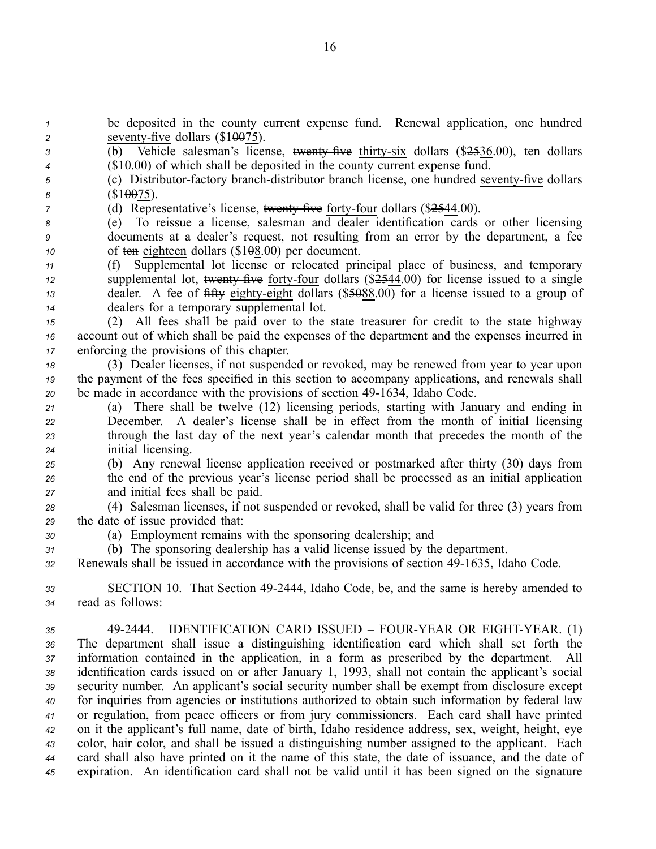*<sup>1</sup>* be deposited in the county current expense fund. Renewal application, one hundred 2 seventy-five dollars  $(\$10075)$ .

3 (b) Vehicle salesman's license, <del>twenty five</del> thirty-six dollars (\$2536.00), ten dollars *<sup>4</sup>* (\$10.00) of which shall be deposited in the county current expense fund.

*f* (c) Distributor-factory branch-distributor branch license, one hundred seventy-five dollars 6  $($10075)$ .

*7* (d) Representative's license, wenty five forty-four dollars (\$2544.00).

*<sup>8</sup>* (e) To reissue <sup>a</sup> license, salesman and dealer identification cards or other licensing *<sup>9</sup>* documents at <sup>a</sup> dealer's request, not resulting from an error by the department, <sup>a</sup> fee *<sup>10</sup>* of ten eighteen dollars (\$108.00) per document.

 (f) Supplemental lot license or relocated principal place of business, and temporary 12 supplemental lot, twenty five forty-four dollars (\$2544.00) for license issued to a single dealer. A fee of  $\frac{6}{10}$  for  $\frac{1}{2}$  dealer. A fee of  $\frac{6}{10}$  for  $\frac{1}{2}$  dealer. A fee of  $\frac{6}{10}$  eighty-eight dollars (\$5088.00) for a license issued to a group of dealers for <sup>a</sup> temporary supplemental lot.

*<sup>15</sup>* (2) All fees shall be paid over to the state treasurer for credit to the state highway *<sup>16</sup>* account out of which shall be paid the expenses of the department and the expenses incurred in *<sup>17</sup>* enforcing the provisions of this chapter.

*<sup>18</sup>* (3) Dealer licenses, if not suspended or revoked, may be renewed from year to year upon *<sup>19</sup>* the paymen<sup>t</sup> of the fees specified in this section to accompany applications, and renewals shall 20 be made in accordance with the provisions of section 49-1634, Idaho Code.

 (a) There shall be twelve (12) licensing periods, starting with January and ending in December. A dealer's license shall be in effect from the month of initial licensing through the last day of the next year's calendar month that precedes the month of the initial licensing.

*<sup>25</sup>* (b) Any renewal license application received or postmarked after thirty (30) days from *<sup>26</sup>* the end of the previous year's license period shall be processed as an initial application *<sup>27</sup>* and initial fees shall be paid.

- *<sup>28</sup>* (4) Salesman licenses, if not suspended or revoked, shall be valid for three (3) years from *<sup>29</sup>* the date of issue provided that:
- *<sup>30</sup>* (a) Employment remains with the sponsoring dealership; and

*<sup>31</sup>* (b) The sponsoring dealership has <sup>a</sup> valid license issued by the department.

*<sup>32</sup>* Renewals shall be issued in accordance with the provisions of section 491635, Idaho Code.

*<sup>33</sup>* SECTION 10. That Section 492444, Idaho Code, be, and the same is hereby amended to *<sup>34</sup>* read as follows:

 492444. IDENTIFICATION CARD ISSUED – FOURYEAR OR EIGHTYEAR. (1) The department shall issue <sup>a</sup> distinguishing identification card which shall set forth the information contained in the application, in <sup>a</sup> form as prescribed by the department. All identification cards issued on or after January 1, 1993, shall not contain the applicant's social security number. An applicant's social security number shall be exemp<sup>t</sup> from disclosure excep<sup>t</sup> for inquiries from agencies or institutions authorized to obtain such information by federal law or regulation, from peace officers or from jury commissioners. Each card shall have printed on it the applicant's full name, date of birth, Idaho residence address, sex, weight, height, eye color, hair color, and shall be issued <sup>a</sup> distinguishing number assigned to the applicant. Each card shall also have printed on it the name of this state, the date of issuance, and the date of expiration. An identification card shall not be valid until it has been signed on the signature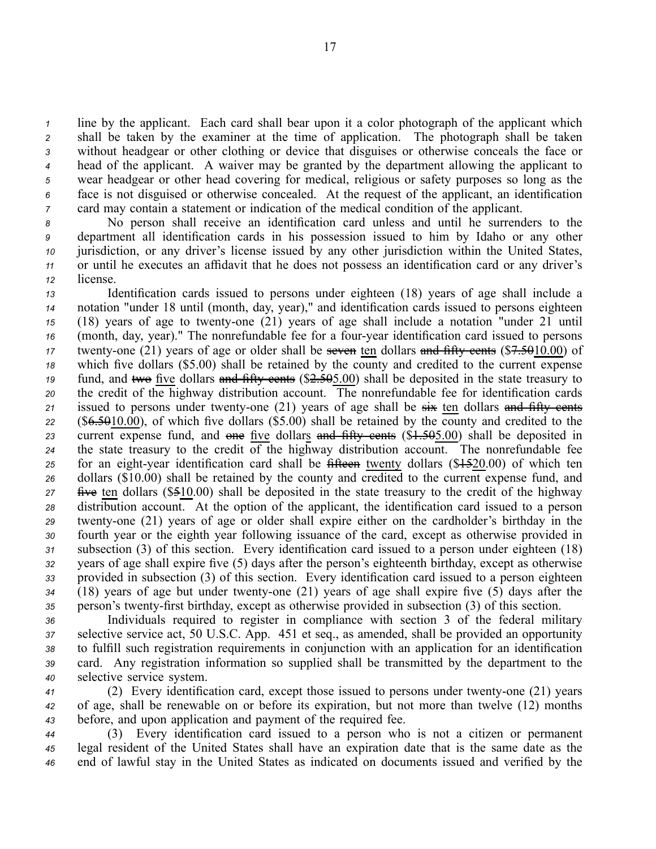line by the applicant. Each card shall bear upon it <sup>a</sup> color photograph of the applicant which shall be taken by the examiner at the time of application. The photograph shall be taken without headgear or other clothing or device that disguises or otherwise conceals the face or head of the applicant. A waiver may be granted by the department allowing the applicant to wear headgear or other head covering for medical, religious or safety purposes so long as the face is not disguised or otherwise concealed. At the reques<sup>t</sup> of the applicant, an identification card may contain <sup>a</sup> statement or indication of the medical condition of the applicant.

 No person shall receive an identification card unless and until he surrenders to the department all identification cards in his possession issued to him by Idaho or any other jurisdiction, or any driver's license issued by any other jurisdiction within the United States, or until he executes an affidavit that he does not possess an identification card or any driver's *<sup>12</sup>* license.

 Identification cards issued to persons under eighteen (18) years of age shall include <sup>a</sup> notation "under 18 until (month, day, year)," and identification cards issued to persons eighteen 15 (18) years of age to twenty-one (21) years of age shall include a notation "under 21 until 16 (month, day, year)." The nonrefundable fee for a four-year identification card issued to persons twenty-one (21) years of age or older shall be seven ten dollars and fifty cents (\$7.5010.00) of which five dollars (\$5.00) shall be retained by the county and credited to the current expense fund, and two five dollars and fifty cents (\$2.505.00) shall be deposited in the state treasury to the credit of the highway distribution account. The nonrefundable fee for identification cards issued to persons under twenty-one  $(21)$  years of age shall be  $s\ddot{x}$  ten dollars and fifty cents (\$6.5010.00), of which five dollars (\$5.00) shall be retained by the county and credited to the current expense fund, and one five dollars and fifty cents (\$1.505.00) shall be deposited in 24 the state treasury to the credit  $\overline{of}$  the highway distribution account. The nonrefundable fee 25 for an eight-year identification card shall be fifteen twenty dollars (\$4.520.00) of which ten dollars (\$10.00) shall be retained by the county and credited to the current expense fund, and five ten dollars (\$510.00) shall be deposited in the state treasury to the credit of the highway distribution account. At the option of the applicant, the identification card issued to <sup>a</sup> person twenty-one (21) years of age or older shall expire either on the cardholder's birthday in the fourth year or the eighth year following issuance of the card, excep<sup>t</sup> as otherwise provided in subsection (3) of this section. Every identification card issued to <sup>a</sup> person under eighteen (18) years of age shall expire five (5) days after the person's eighteenth birthday, excep<sup>t</sup> as otherwise provided in subsection (3) of this section. Every identification card issued to <sup>a</sup> person eighteen 34 (18) years of age but under twenty-one (21) years of age shall expire five (5) days after the 35 person's twenty-first birthday, except as otherwise provided in subsection (3) of this section.

 Individuals required to register in compliance with section 3 of the federal military selective service act, 50 U.S.C. App. 451 et seq., as amended, shall be provided an opportunity to fulfill such registration requirements in conjunction with an application for an identification card. Any registration information so supplied shall be transmitted by the department to the selective service system.

*<sup>41</sup>* (2) Every identification card, excep<sup>t</sup> those issued to persons under twentyone (21) years *<sup>42</sup>* of age, shall be renewable on or before its expiration, but not more than twelve (12) months *<sup>43</sup>* before, and upon application and paymen<sup>t</sup> of the required fee.

*<sup>44</sup>* (3) Every identification card issued to <sup>a</sup> person who is not <sup>a</sup> citizen or permanen<sup>t</sup> *<sup>45</sup>* legal resident of the United States shall have an expiration date that is the same date as the *<sup>46</sup>* end of lawful stay in the United States as indicated on documents issued and verified by the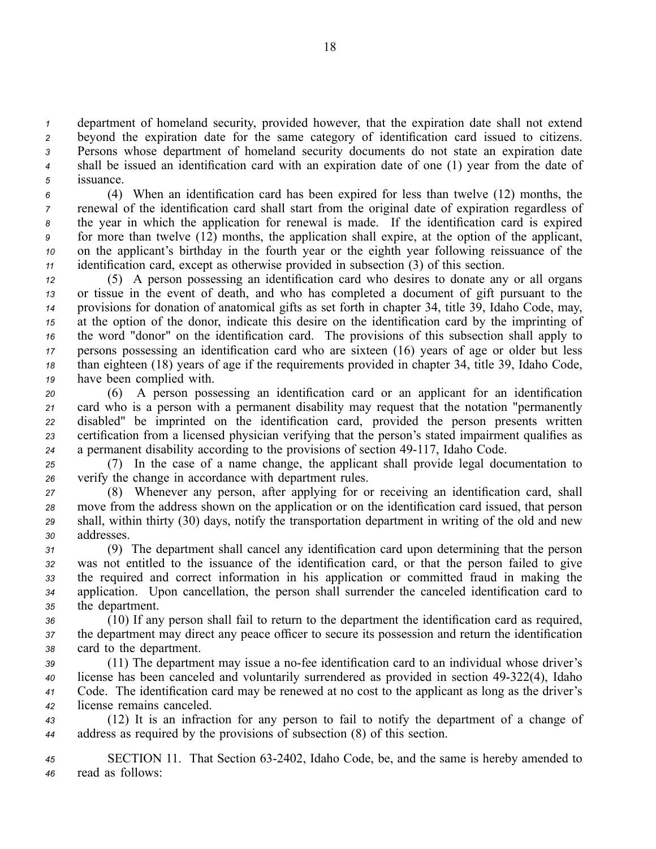department of homeland security, provided however, that the expiration date shall not extend beyond the expiration date for the same category of identification card issued to citizens. Persons whose department of homeland security documents do not state an expiration date shall be issued an identification card with an expiration date of one (1) year from the date of issuance.

 (4) When an identification card has been expired for less than twelve (12) months, the renewal of the identification card shall start from the original date of expiration regardless of the year in which the application for renewal is made. If the identification card is expired for more than twelve (12) months, the application shall expire, at the option of the applicant, on the applicant's birthday in the fourth year or the eighth year following reissuance of the identification card, excep<sup>t</sup> as otherwise provided in subsection (3) of this section.

 (5) A person possessing an identification card who desires to donate any or all organs or tissue in the event of death, and who has completed <sup>a</sup> document of gift pursuan<sup>t</sup> to the provisions for donation of anatomical gifts as set forth in chapter 34, title 39, Idaho Code, may, at the option of the donor, indicate this desire on the identification card by the imprinting of the word "donor" on the identification card. The provisions of this subsection shall apply to persons possessing an identification card who are sixteen (16) years of age or older but less than eighteen (18) years of age if the requirements provided in chapter 34, title 39, Idaho Code, have been complied with.

 (6) A person possessing an identification card or an applicant for an identification card who is <sup>a</sup> person with <sup>a</sup> permanen<sup>t</sup> disability may reques<sup>t</sup> that the notation "permanently disabled" be imprinted on the identification card, provided the person presents written certification from <sup>a</sup> licensed physician verifying that the person's stated impairment qualifies as <sup>a</sup> permanen<sup>t</sup> disability according to the provisions of section 49117, Idaho Code.

*<sup>25</sup>* (7) In the case of <sup>a</sup> name change, the applicant shall provide legal documentation to *<sup>26</sup>* verify the change in accordance with department rules.

 (8) Whenever any person, after applying for or receiving an identification card, shall move from the address shown on the application or on the identification card issued, that person shall, within thirty (30) days, notify the transportation department in writing of the old and new addresses.

 (9) The department shall cancel any identification card upon determining that the person was not entitled to the issuance of the identification card, or that the person failed to give the required and correct information in his application or committed fraud in making the application. Upon cancellation, the person shall surrender the canceled identification card to the department.

*<sup>36</sup>* (10) If any person shall fail to return to the department the identification card as required, *<sup>37</sup>* the department may direct any peace officer to secure its possession and return the identification *<sup>38</sup>* card to the department.

39 (11) The department may issue a no-fee identification card to an individual whose driver's license has been canceled and voluntarily surrendered as provided in section 49322(4), Idaho Code. The identification card may be renewed at no cost to the applicant as long as the driver's license remains canceled.

*<sup>43</sup>* (12) It is an infraction for any person to fail to notify the department of <sup>a</sup> change of *<sup>44</sup>* address as required by the provisions of subsection (8) of this section.

*<sup>45</sup>* SECTION 11. That Section 632402, Idaho Code, be, and the same is hereby amended to *<sup>46</sup>* read as follows: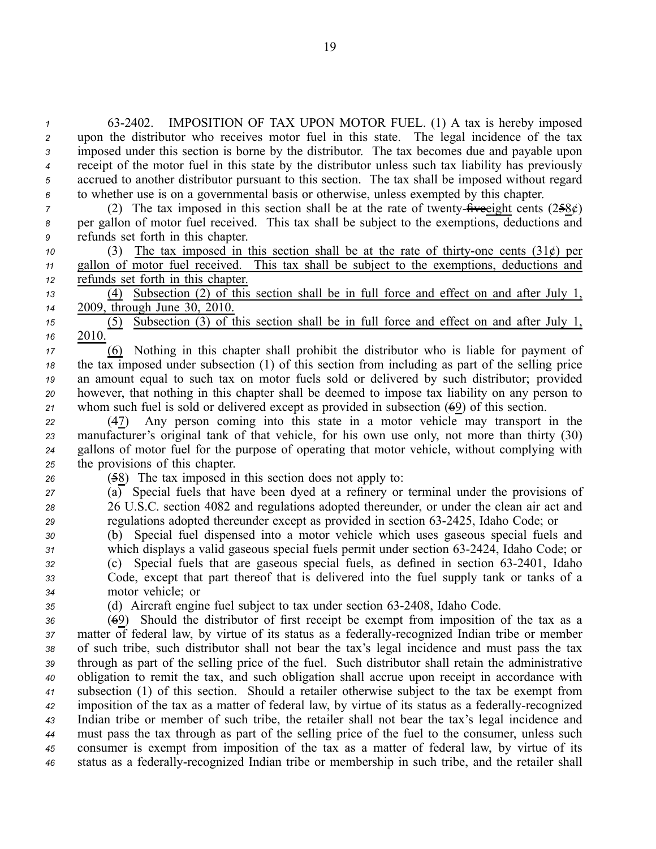632402. IMPOSITION OF TAX UPON MOTOR FUEL. (1) A tax is hereby imposed upon the distributor who receives motor fuel in this state. The legal incidence of the tax imposed under this section is borne by the distributor. The tax becomes due and payable upon receipt of the motor fuel in this state by the distributor unless such tax liability has previously accrued to another distributor pursuan<sup>t</sup> to this section. The tax shall be imposed without regard to whether use is on <sup>a</sup> governmental basis or otherwise, unless exempted by this chapter.

*7* (2) The tax imposed in this section shall be at the rate of twenty- $\hat{H}$ veeight cents (258 $\acute{\epsilon}$ ) *<sup>8</sup>* per gallon of motor fuel received. This tax shall be subject to the exemptions, deductions and *<sup>9</sup>* refunds set forth in this chapter.

*10* (3) The tax imposed in this section shall be at the rate of thirty-one cents  $(31¢)$  per *<sup>11</sup>* gallon of motor fuel received. This tax shall be subject to the exemptions, deductions and *<sup>12</sup>* refunds set forth in this chapter.

*<sup>13</sup>* (4) Subsection (2) of this section shall be in full force and effect on and after July 1, *<sup>14</sup>* 2009, through June 30, 2010.

*<sup>15</sup>* (5) Subsection (3) of this section shall be in full force and effect on and after July 1, *16* 2010.

 (6) Nothing in this chapter shall prohibit the distributor who is liable for paymen<sup>t</sup> of the tax imposed under subsection (1) of this section from including as par<sup>t</sup> of the selling price an amount equal to such tax on motor fuels sold or delivered by such distributor; provided however, that nothing in this chapter shall be deemed to impose tax liability on any person to whom such fuel is sold or delivered excep<sup>t</sup> as provided in subsection (69) of this section.

 (47) Any person coming into this state in <sup>a</sup> motor vehicle may transport in the manufacturer's original tank of that vehicle, for his own use only, not more than thirty (30) gallons of motor fuel for the purpose of operating that motor vehicle, without complying with the provisions of this chapter.

*<sup>26</sup>* (58) The tax imposed in this section does not apply to:

*<sup>27</sup>* (a) Special fuels that have been dyed at <sup>a</sup> refinery or terminal under the provisions of *<sup>28</sup>* 26 U.S.C. section 4082 and regulations adopted thereunder, or under the clean air act and *<sup>29</sup>* regulations adopted thereunder excep<sup>t</sup> as provided in section 632425, Idaho Code; or

 (b) Special fuel dispensed into <sup>a</sup> motor vehicle which uses gaseous special fuels and which displays <sup>a</sup> valid gaseous special fuels permit under section 632424, Idaho Code; or (c) Special fuels that are gaseous special fuels, as defined in section 632401, Idaho Code, excep<sup>t</sup> that par<sup>t</sup> thereof that is delivered into the fuel supply tank or tanks of <sup>a</sup> motor vehicle; or

*<sup>35</sup>* (d) Aircraft engine fuel subject to tax under section 632408, Idaho Code.

 (69) Should the distributor of first receipt be exemp<sup>t</sup> from imposition of the tax as <sup>a</sup> 37 matter of federal law, by virtue of its status as a federally-recognized Indian tribe or member of such tribe, such distributor shall not bear the tax's legal incidence and must pass the tax through as par<sup>t</sup> of the selling price of the fuel. Such distributor shall retain the administrative obligation to remit the tax, and such obligation shall accrue upon receipt in accordance with subsection (1) of this section. Should <sup>a</sup> retailer otherwise subject to the tax be exemp<sup>t</sup> from imposition of the tax as a matter of federal law, by virtue of its status as a federally-recognized Indian tribe or member of such tribe, the retailer shall not bear the tax's legal incidence and must pass the tax through as par<sup>t</sup> of the selling price of the fuel to the consumer, unless such consumer is exemp<sup>t</sup> from imposition of the tax as <sup>a</sup> matter of federal law, by virtue of its status as <sup>a</sup> federallyrecognized Indian tribe or membership in such tribe, and the retailer shall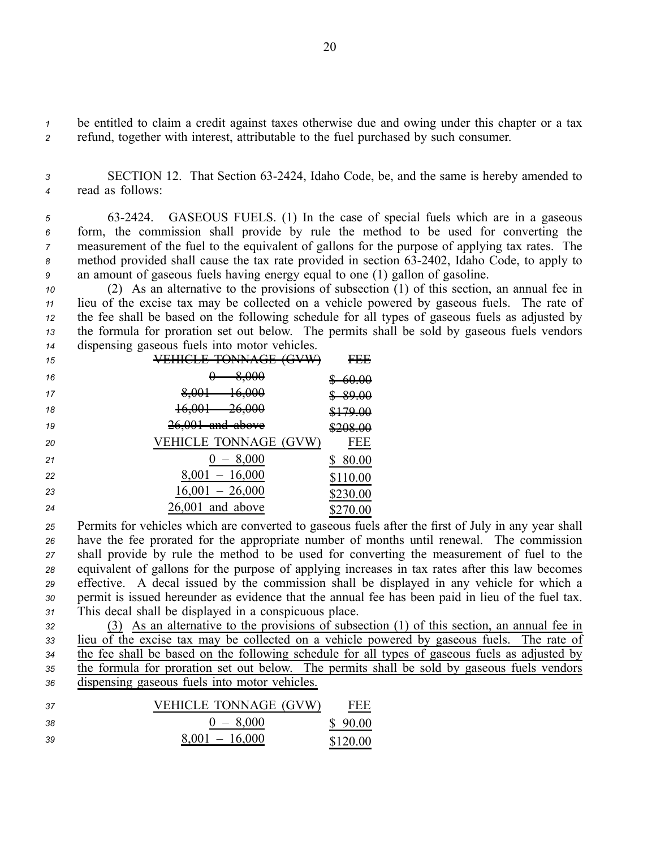*<sup>1</sup>* be entitled to claim <sup>a</sup> credit against taxes otherwise due and owing under this chapter or <sup>a</sup> tax *<sup>2</sup>* refund, together with interest, attributable to the fuel purchased by such consumer.

*<sup>3</sup>* SECTION 12. That Section 632424, Idaho Code, be, and the same is hereby amended to *<sup>4</sup>* read as follows:

 632424. GASEOUS FUELS. (1) In the case of special fuels which are in <sup>a</sup> gaseous form, the commission shall provide by rule the method to be used for converting the measurement of the fuel to the equivalent of gallons for the purpose of applying tax rates. The 8 method provided shall cause the tax rate provided in section 63-2402, Idaho Code, to apply to an amount of gaseous fuels having energy equal to one (1) gallon of gasoline.

 (2) As an alternative to the provisions of subsection (1) of this section, an annual fee in lieu of the excise tax may be collected on <sup>a</sup> vehicle powered by gaseous fuels. The rate of the fee shall be based on the following schedule for all types of gaseous fuels as adjusted by the formula for proration set out below. The permits shall be sold by gaseous fuels vendors dispensing gaseous fuels into motor vehicles.

| 15 | TOMMA GE<br><b>ACVIVA</b><br>unche iounioe<br><del>,,,,,,,</del> | CCC<br>- 1717                        |
|----|------------------------------------------------------------------|--------------------------------------|
| 16 | 8,000                                                            | <del>60.00</del>                     |
| 17 | 16,000<br>8,001                                                  | <del>89.00</del>                     |
| 18 | 16,001<br><del>26,000</del>                                      | <u>0170 AA</u><br><del>9179.00</del> |
| 19 | $26,001$ and above                                               | \$208.00                             |
| 20 | <b>VEHICLE TONNAGE (GVW)</b>                                     | FEE                                  |
| 21 | $0 - 8,000$                                                      | 80.00                                |
| 22 | $8,001 - 16,000$                                                 | \$110.00                             |
| 23 | $16,001 - 26,000$                                                | \$230.00                             |
| 24 | $26,001$ and above                                               | \$270.00                             |

 Permits for vehicles which are converted to gaseous fuels after the first of July in any year shall have the fee prorated for the appropriate number of months until renewal. The commission shall provide by rule the method to be used for converting the measurement of fuel to the equivalent of gallons for the purpose of applying increases in tax rates after this law becomes effective. A decal issued by the commission shall be displayed in any vehicle for which <sup>a</sup> permit is issued hereunder as evidence that the annual fee has been paid in lieu of the fuel tax. This decal shall be displayed in <sup>a</sup> conspicuous place.

 (3) As an alternative to the provisions of subsection (1) of this section, an annual fee in lieu of the excise tax may be collected on <sup>a</sup> vehicle powered by gaseous fuels. The rate of <sup>34</sup> the fee shall be based on the following schedule for all types of gaseous fuels as adjusted by the formula for proration set out below. The permits shall be sold by gaseous fuels vendors dispensing gaseous fuels into motor vehicles.

 VEHICLE TONNAGE (GVW) FEE 0 – 8,000 \$ 90.00 8,001 – 16,000 \$120.00